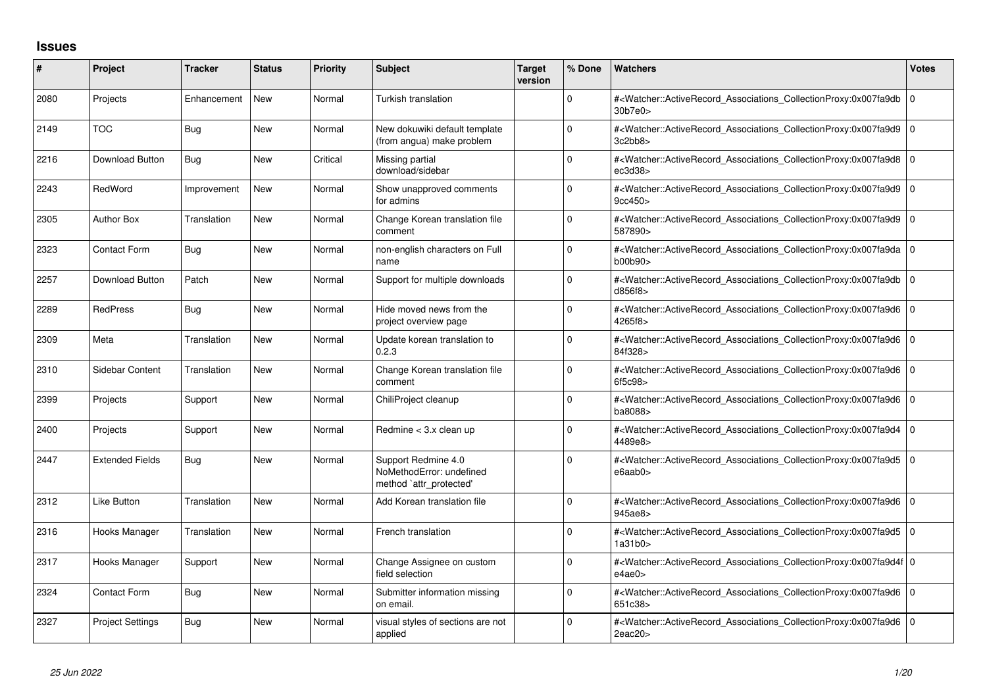## **Issues**

| #    | Project                 | <b>Tracker</b> | <b>Status</b> | <b>Priority</b> | <b>Subject</b>                                                             | <b>Target</b><br>version | % Done      | <b>Watchers</b>                                                                                                                                          | <b>Votes</b> |
|------|-------------------------|----------------|---------------|-----------------|----------------------------------------------------------------------------|--------------------------|-------------|----------------------------------------------------------------------------------------------------------------------------------------------------------|--------------|
| 2080 | Projects                | Enhancement    | <b>New</b>    | Normal          | Turkish translation                                                        |                          | 0           | # <watcher::activerecord_associations_collectionproxy:0x007fa9db 0<br="">30b7e0&gt;</watcher::activerecord_associations_collectionproxy:0x007fa9db>      |              |
| 2149 | <b>TOC</b>              | <b>Bug</b>     | <b>New</b>    | Normal          | New dokuwiki default template<br>(from angua) make problem                 |                          | $\Omega$    | # <watcher::activerecord_associations_collectionproxy:0x007fa9d9 0<br=""  ="">3c2bb8</watcher::activerecord_associations_collectionproxy:0x007fa9d9>     |              |
| 2216 | Download Button         | <b>Bug</b>     | <b>New</b>    | Critical        | Missing partial<br>download/sidebar                                        |                          | $\Omega$    | # <watcher::activerecord_associations_collectionproxy:0x007fa9d8 0<br="">ec3d38</watcher::activerecord_associations_collectionproxy:0x007fa9d8>          |              |
| 2243 | RedWord                 | Improvement    | <b>New</b>    | Normal          | Show unapproved comments<br>for admins                                     |                          | $\Omega$    | # <watcher::activerecord_associations_collectionproxy:0x007fa9d9 0<br=""  ="">9cc450&gt;</watcher::activerecord_associations_collectionproxy:0x007fa9d9> |              |
| 2305 | <b>Author Box</b>       | Translation    | <b>New</b>    | Normal          | Change Korean translation file<br>comment                                  |                          | 0           | # <watcher::activerecord_associations_collectionproxy:0x007fa9d9 0<br="">587890&gt;</watcher::activerecord_associations_collectionproxy:0x007fa9d9>      |              |
| 2323 | <b>Contact Form</b>     | Bug            | <b>New</b>    | Normal          | non-english characters on Full<br>name                                     |                          | 0           | # <watcher::activerecord_associations_collectionproxy:0x007fa9da 0<br=""  ="">b00b90&gt;</watcher::activerecord_associations_collectionproxy:0x007fa9da> |              |
| 2257 | Download Button         | Patch          | <b>New</b>    | Normal          | Support for multiple downloads                                             |                          | $\Omega$    | # <watcher::activerecord_associations_collectionproxy:0x007fa9db 0<br="">d856f8&gt;</watcher::activerecord_associations_collectionproxy:0x007fa9db>      |              |
| 2289 | <b>RedPress</b>         | <b>Bug</b>     | <b>New</b>    | Normal          | Hide moved news from the<br>project overview page                          |                          | 0           | # <watcher::activerecord_associations_collectionproxy:0x007fa9d6 0<br=""  ="">4265f8&gt;</watcher::activerecord_associations_collectionproxy:0x007fa9d6> |              |
| 2309 | Meta                    | Translation    | <b>New</b>    | Normal          | Update korean translation to<br>0.2.3                                      |                          | $\Omega$    | # <watcher::activerecord_associations_collectionproxy:0x007fa9d6 0<br="">84f328&gt;</watcher::activerecord_associations_collectionproxy:0x007fa9d6>      |              |
| 2310 | Sidebar Content         | Translation    | <b>New</b>    | Normal          | Change Korean translation file<br>comment                                  |                          | 0           | # <watcher::activerecord_associations_collectionproxy:0x007fa9d6 0<br=""  ="">6f5c98&gt;</watcher::activerecord_associations_collectionproxy:0x007fa9d6> |              |
| 2399 | Projects                | Support        | <b>New</b>    | Normal          | ChiliProject cleanup                                                       |                          | $\Omega$    | # <watcher::activerecord_associations_collectionproxy:0x007fa9d6 0<br="">ba8088&gt;</watcher::activerecord_associations_collectionproxy:0x007fa9d6>      |              |
| 2400 | Projects                | Support        | <b>New</b>    | Normal          | Redmine < 3.x clean up                                                     |                          | 0           | # <watcher::activerecord_associations_collectionproxy:0x007fa9d4<br>4489e8&gt;</watcher::activerecord_associations_collectionproxy:0x007fa9d4<br>        | 10           |
| 2447 | <b>Extended Fields</b>  | Bug            | <b>New</b>    | Normal          | Support Redmine 4.0<br>NoMethodError: undefined<br>method `attr_protected' |                          | 0           | # <watcher::activerecord_associations_collectionproxy:0x007fa9d5 0<br="">e6aab0&gt;</watcher::activerecord_associations_collectionproxy:0x007fa9d5>      |              |
| 2312 | Like Button             | Translation    | <b>New</b>    | Normal          | Add Korean translation file                                                |                          | $\Omega$    | # <watcher::activerecord_associations_collectionproxy:0x007fa9d6 0<br="">945ae8&gt;</watcher::activerecord_associations_collectionproxy:0x007fa9d6>      |              |
| 2316 | Hooks Manager           | Translation    | <b>New</b>    | Normal          | French translation                                                         |                          | $\Omega$    | # <watcher::activerecord 0<br="" associations="" collectionproxy:0x007fa9d5=""  ="">1a31b0</watcher::activerecord>                                       |              |
| 2317 | Hooks Manager           | Support        | <b>New</b>    | Normal          | Change Assignee on custom<br>field selection                               |                          | $\Omega$    | # <watcher::activerecord_associations_collectionproxy:0x007fa9d4f 0<br="">e4ae0&gt;</watcher::activerecord_associations_collectionproxy:0x007fa9d4f>     |              |
| 2324 | <b>Contact Form</b>     | Bug            | <b>New</b>    | Normal          | Submitter information missing<br>on email.                                 |                          | $\mathbf 0$ | # <watcher::activerecord 0<br="" associations="" collectionproxy:0x007fa9d6=""  ="">651c38&gt;</watcher::activerecord>                                   |              |
| 2327 | <b>Project Settings</b> | <b>Bug</b>     | <b>New</b>    | Normal          | visual styles of sections are not<br>applied                               |                          | $\Omega$    | # <watcher::activerecord_associations_collectionproxy:0x007fa9d6 0<br="">2eac20</watcher::activerecord_associations_collectionproxy:0x007fa9d6>          |              |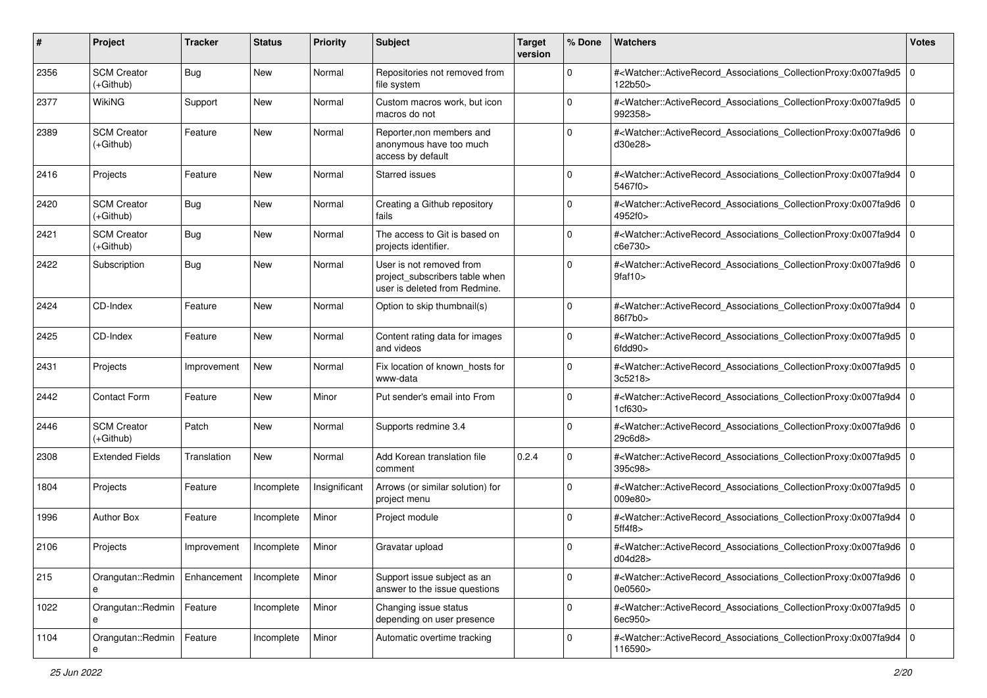| #    | Project                           | <b>Tracker</b> | <b>Status</b> | <b>Priority</b> | <b>Subject</b>                                                                              | <b>Target</b><br>version | % Done      | <b>Watchers</b>                                                                                                                                          | <b>Votes</b> |
|------|-----------------------------------|----------------|---------------|-----------------|---------------------------------------------------------------------------------------------|--------------------------|-------------|----------------------------------------------------------------------------------------------------------------------------------------------------------|--------------|
| 2356 | <b>SCM Creator</b><br>(+Github)   | Bug            | New           | Normal          | Repositories not removed from<br>file system                                                |                          | 0           | # <watcher::activerecord_associations_collectionproxy:0x007fa9d5<br>122b50&gt;</watcher::activerecord_associations_collectionproxy:0x007fa9d5<br>        | l 0          |
| 2377 | <b>WikiNG</b>                     | Support        | New           | Normal          | Custom macros work, but icon<br>macros do not                                               |                          | $\Omega$    | # <watcher::activerecord_associations_collectionproxy:0x007fa9d5 0<br="">992358&gt;</watcher::activerecord_associations_collectionproxy:0x007fa9d5>      |              |
| 2389 | <b>SCM Creator</b><br>(+Github)   | Feature        | New           | Normal          | Reporter, non members and<br>anonymous have too much<br>access by default                   |                          | 0           | # <watcher::activerecord_associations_collectionproxy:0x007fa9d6 0<br=""  ="">d30e28&gt;</watcher::activerecord_associations_collectionproxy:0x007fa9d6> |              |
| 2416 | Projects                          | Feature        | New           | Normal          | <b>Starred issues</b>                                                                       |                          | 0           | # <watcher::activerecord_associations_collectionproxy:0x007fa9d4<br>5467f0&gt;</watcher::activerecord_associations_collectionproxy:0x007fa9d4<br>        | $\mathbf 0$  |
| 2420 | <b>SCM Creator</b><br>(+Github)   | Bug            | New           | Normal          | Creating a Github repository<br>fails                                                       |                          | 0           | # <watcher::activerecord_associations_collectionproxy:0x007fa9d6 0<br=""  ="">4952f0&gt;</watcher::activerecord_associations_collectionproxy:0x007fa9d6> |              |
| 2421 | <b>SCM Creator</b><br>$(+Github)$ | Bug            | New           | Normal          | The access to Git is based on<br>projects identifier.                                       |                          | $\Omega$    | # <watcher::activerecord_associations_collectionproxy:0x007fa9d4<br>c6e730&gt;</watcher::activerecord_associations_collectionproxy:0x007fa9d4<br>        | $\mathbf 0$  |
| 2422 | Subscription                      | Bug            | <b>New</b>    | Normal          | User is not removed from<br>project subscribers table when<br>user is deleted from Redmine. |                          | $\Omega$    | # <watcher::activerecord_associations_collectionproxy:0x007fa9d6 0<br="">9faf10&gt;</watcher::activerecord_associations_collectionproxy:0x007fa9d6>      |              |
| 2424 | CD-Index                          | Feature        | New           | Normal          | Option to skip thumbnail(s)                                                                 |                          | $\Omega$    | # <watcher::activerecord_associations_collectionproxy:0x007fa9d4<br>86f7b0&gt;</watcher::activerecord_associations_collectionproxy:0x007fa9d4<br>        | $\mathbf 0$  |
| 2425 | CD-Index                          | Feature        | New           | Normal          | Content rating data for images<br>and videos                                                |                          | $\Omega$    | # <watcher::activerecord_associations_collectionproxy:0x007fa9d5 0<br=""  ="">6fdd90&gt;</watcher::activerecord_associations_collectionproxy:0x007fa9d5> |              |
| 2431 | Projects                          | Improvement    | New           | Normal          | Fix location of known_hosts for<br>www-data                                                 |                          | $\mathbf 0$ | # <watcher::activerecord_associations_collectionproxy:0x007fa9d5<br>3c5218&gt;</watcher::activerecord_associations_collectionproxy:0x007fa9d5<br>        | 10           |
| 2442 | <b>Contact Form</b>               | Feature        | New           | Minor           | Put sender's email into From                                                                |                          | $\Omega$    | # <watcher::activerecord_associations_collectionproxy:0x007fa9d4<br>1cf630&gt;</watcher::activerecord_associations_collectionproxy:0x007fa9d4<br>        | $\mathbf 0$  |
| 2446 | <b>SCM Creator</b><br>(+Github)   | Patch          | New           | Normal          | Supports redmine 3.4                                                                        |                          | $\Omega$    | # <watcher::activerecord_associations_collectionproxy:0x007fa9d6 0<br=""  ="">29c6d8&gt;</watcher::activerecord_associations_collectionproxy:0x007fa9d6> |              |
| 2308 | <b>Extended Fields</b>            | Translation    | <b>New</b>    | Normal          | Add Korean translation file<br>comment                                                      | 0.2.4                    | 0           | # <watcher::activerecord_associations_collectionproxy:0x007fa9d5 0<br="">395c98&gt;</watcher::activerecord_associations_collectionproxy:0x007fa9d5>      |              |
| 1804 | Projects                          | Feature        | Incomplete    | Insignificant   | Arrows (or similar solution) for<br>project menu                                            |                          | $\mathbf 0$ | # <watcher::activerecord_associations_collectionproxy:0x007fa9d5 0<br=""  ="">009e80&gt;</watcher::activerecord_associations_collectionproxy:0x007fa9d5> |              |
| 1996 | <b>Author Box</b>                 | Feature        | Incomplete    | Minor           | Project module                                                                              |                          | $\Omega$    | # <watcher::activerecord_associations_collectionproxy:0x007fa9d4<br>5ff4f8&gt;</watcher::activerecord_associations_collectionproxy:0x007fa9d4<br>        | $\mathbf 0$  |
| 2106 | Projects                          | Improvement    | Incomplete    | Minor           | Gravatar upload                                                                             |                          | 0           | # <watcher::activerecord_associations_collectionproxy:0x007fa9d6 0<br=""  ="">d04d28&gt;</watcher::activerecord_associations_collectionproxy:0x007fa9d6> |              |
| 215  | Orangutan::Redmin<br>е            | Enhancement    | Incomplete    | Minor           | Support issue subject as an<br>answer to the issue questions                                |                          | 0           | # <watcher::activerecord 0<br="" associations="" collectionproxy:0x007fa9d6="">0e0560&gt;</watcher::activerecord>                                        |              |
| 1022 | Orangutan::Redmin<br>e            | Feature        | Incomplete    | Minor           | Changing issue status<br>depending on user presence                                         |                          | $\mathbf 0$ | # <watcher::activerecord_associations_collectionproxy:0x007fa9d5 0<br="">6ec950&gt;</watcher::activerecord_associations_collectionproxy:0x007fa9d5>      |              |
| 1104 | Orangutan::Redmin                 | Feature        | Incomplete    | Minor           | Automatic overtime tracking                                                                 |                          | 0           | # <watcher::activerecord_associations_collectionproxy:0x007fa9d4 0<br=""  ="">116590&gt;</watcher::activerecord_associations_collectionproxy:0x007fa9d4> |              |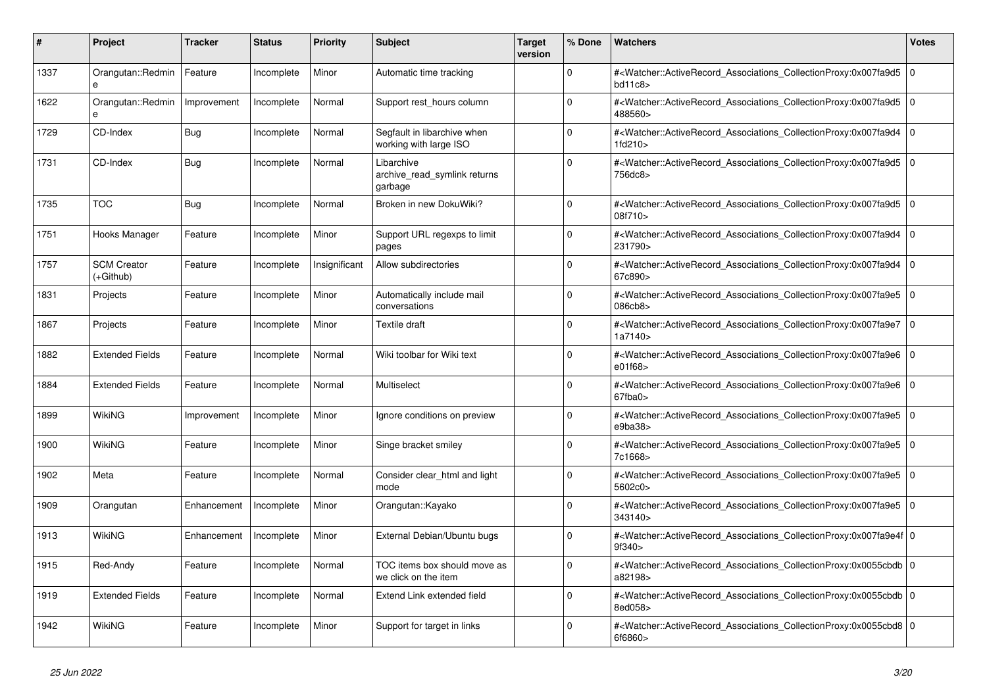| #    | <b>Project</b>                  | <b>Tracker</b> | <b>Status</b> | <b>Priority</b> | <b>Subject</b>                                        | <b>Target</b><br>version | % Done      | Watchers                                                                                                                                                  | Votes          |
|------|---------------------------------|----------------|---------------|-----------------|-------------------------------------------------------|--------------------------|-------------|-----------------------------------------------------------------------------------------------------------------------------------------------------------|----------------|
| 1337 | Orangutan::Redmin<br>e          | Feature        | Incomplete    | Minor           | Automatic time tracking                               |                          | $\Omega$    | # <watcher::activerecord_associations_collectionproxy:0x007fa9d5<br>bd11c8</watcher::activerecord_associations_collectionproxy:0x007fa9d5<br>             | $\overline{0}$ |
| 1622 | Orangutan::Redmin<br>e          | Improvement    | Incomplete    | Normal          | Support rest_hours column                             |                          | $\Omega$    | # <watcher::activerecord_associations_collectionproxy:0x007fa9d5<br>488560&gt;</watcher::activerecord_associations_collectionproxy:0x007fa9d5<br>         | l O            |
| 1729 | CD-Index                        | Bug            | Incomplete    | Normal          | Segfault in libarchive when<br>working with large ISO |                          | $\Omega$    | # <watcher::activerecord_associations_collectionproxy:0x007fa9d4<br>1fd210</watcher::activerecord_associations_collectionproxy:0x007fa9d4<br>             | l 0            |
| 1731 | CD-Index                        | <b>Bug</b>     | Incomplete    | Normal          | Libarchive<br>archive read symlink returns<br>garbage |                          | $\Omega$    | # <watcher::activerecord_associations_collectionproxy:0x007fa9d5<br>756dc8&gt;</watcher::activerecord_associations_collectionproxy:0x007fa9d5<br>         | $\overline{0}$ |
| 1735 | <b>TOC</b>                      | Bug            | Incomplete    | Normal          | Broken in new DokuWiki?                               |                          | $\Omega$    | # <watcher::activerecord associations="" collectionproxy:0x007fa9d5<br="">08f710&gt;</watcher::activerecord>                                              | 10             |
| 1751 | Hooks Manager                   | Feature        | Incomplete    | Minor           | Support URL regexps to limit<br>pages                 |                          | $\Omega$    | # <watcher::activerecord associations="" collectionproxy:0x007fa9d4<br="">231790&gt;</watcher::activerecord>                                              | 0 I            |
| 1757 | <b>SCM Creator</b><br>(+Github) | Feature        | Incomplete    | Insignificant   | Allow subdirectories                                  |                          | $\Omega$    | # <watcher::activerecord_associations_collectionproxy:0x007fa9d4<br>67c890&gt;</watcher::activerecord_associations_collectionproxy:0x007fa9d4<br>         | l 0            |
| 1831 | Projects                        | Feature        | Incomplete    | Minor           | Automatically include mail<br>conversations           |                          | $\Omega$    | # <watcher::activerecord_associations_collectionproxy:0x007fa9e5 0<br=""  ="">086cb8&gt;</watcher::activerecord_associations_collectionproxy:0x007fa9e5>  |                |
| 1867 | Projects                        | Feature        | Incomplete    | Minor           | Textile draft                                         |                          | $\Omega$    | # <watcher::activerecord_associations_collectionproxy:0x007fa9e7<br>1a7140&gt;</watcher::activerecord_associations_collectionproxy:0x007fa9e7<br>         | l 0            |
| 1882 | <b>Extended Fields</b>          | Feature        | Incomplete    | Normal          | Wiki toolbar for Wiki text                            |                          | $\Omega$    | # <watcher::activerecord_associations_collectionproxy:0x007fa9e6<br>e01f68&gt;</watcher::activerecord_associations_collectionproxy:0x007fa9e6<br>         | $\Omega$       |
| 1884 | <b>Extended Fields</b>          | Feature        | Incomplete    | Normal          | Multiselect                                           |                          | $\Omega$    | # <watcher::activerecord associations="" collectionproxy:0x007fa9e6<br="">67fba0</watcher::activerecord>                                                  | ۱o             |
| 1899 | WikiNG                          | Improvement    | Incomplete    | Minor           | Ignore conditions on preview                          |                          | $\Omega$    | # <watcher::activerecord associations="" collectionproxy:0x007fa9e5<br="">e9ba38</watcher::activerecord>                                                  | l O            |
| 1900 | WikiNG                          | Feature        | Incomplete    | Minor           | Singe bracket smiley                                  |                          | 0           | # <watcher::activerecord_associations_collectionproxy:0x007fa9e5<br>7c1668&gt;</watcher::activerecord_associations_collectionproxy:0x007fa9e5<br>         | 0 I            |
| 1902 | Meta                            | Feature        | Incomplete    | Normal          | Consider clear html and light<br>mode                 |                          | $\Omega$    | # <watcher::activerecord_associations_collectionproxy:0x007fa9e5 0<br=""  ="">5602c0&gt;</watcher::activerecord_associations_collectionproxy:0x007fa9e5>  |                |
| 1909 | Orangutan                       | Enhancement    | Incomplete    | Minor           | Orangutan::Kayako                                     |                          | $\Omega$    | # <watcher::activerecord associations="" collectionproxy:0x007fa9e5<br="">343140&gt;</watcher::activerecord>                                              | 0 I            |
| 1913 | WikiNG                          | Enhancement    | Incomplete    | Minor           | External Debian/Ubuntu bugs                           |                          | $\mathbf 0$ | # <watcher::activerecord_associations_collectionproxy:0x007fa9e4f 0<br=""  ="">9f340&gt;</watcher::activerecord_associations_collectionproxy:0x007fa9e4f> |                |
| 1915 | Red-Andy                        | Feature        | Incomplete    | Normal          | TOC items box should move as<br>we click on the item  |                          | $\Omega$    | # <watcher::activerecord_associations_collectionproxy:0x0055cbdb 0<br=""  ="">a82198&gt;</watcher::activerecord_associations_collectionproxy:0x0055cbdb>  |                |
| 1919 | <b>Extended Fields</b>          | Feature        | Incomplete    | Normal          | Extend Link extended field                            |                          | $\Omega$    | # <watcher::activerecord 0<br="" associations="" collectionproxy:0x0055cbdb=""  ="">8ed058&gt;</watcher::activerecord>                                    |                |
| 1942 | WikiNG                          | Feature        | Incomplete    | Minor           | Support for target in links                           |                          | $\Omega$    | # <watcher::activerecord_associations_collectionproxy:0x0055cbd8 0<br=""  ="">6f6860&gt;</watcher::activerecord_associations_collectionproxy:0x0055cbd8>  |                |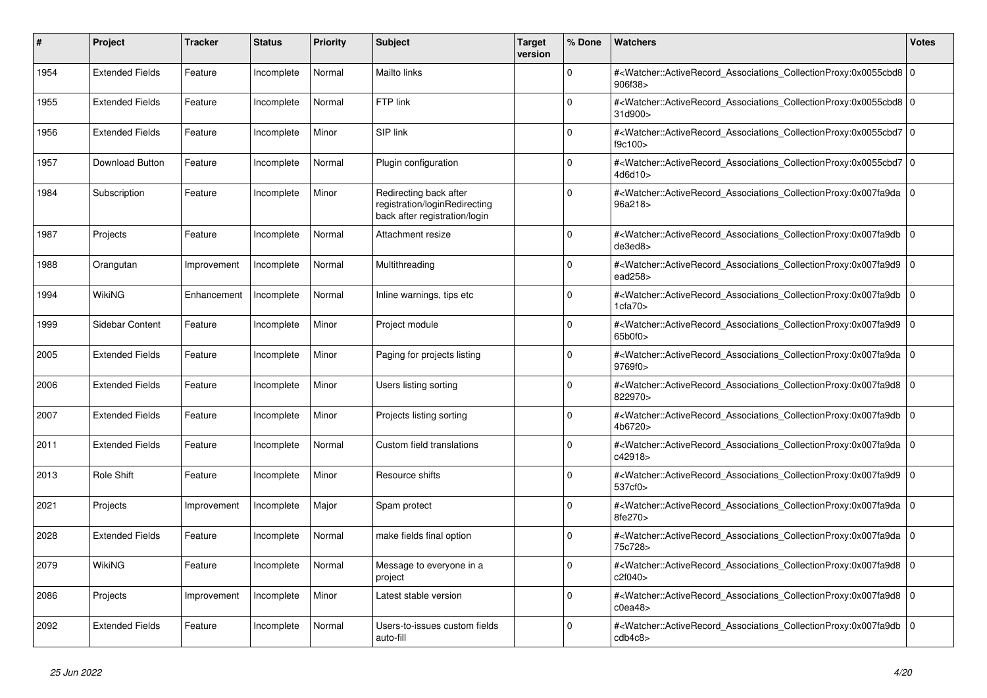| #    | <b>Project</b>         | <b>Tracker</b> | <b>Status</b> | <b>Priority</b> | <b>Subject</b>                                                                           | <b>Target</b><br>version | % Done   | <b>Watchers</b>                                                                                                                                          | <b>Votes</b> |
|------|------------------------|----------------|---------------|-----------------|------------------------------------------------------------------------------------------|--------------------------|----------|----------------------------------------------------------------------------------------------------------------------------------------------------------|--------------|
| 1954 | <b>Extended Fields</b> | Feature        | Incomplete    | Normal          | <b>Mailto links</b>                                                                      |                          | $\Omega$ | # <watcher::activerecord_associations_collectionproxy:0x0055cbd8 0<br=""  ="">906f38&gt;</watcher::activerecord_associations_collectionproxy:0x0055cbd8> |              |
| 1955 | <b>Extended Fields</b> | Feature        | Incomplete    | Normal          | FTP link                                                                                 |                          | $\Omega$ | # <watcher::activerecord_associations_collectionproxy:0x0055cbd8 0<br=""  ="">31d900&gt;</watcher::activerecord_associations_collectionproxy:0x0055cbd8> |              |
| 1956 | <b>Extended Fields</b> | Feature        | Incomplete    | Minor           | SIP link                                                                                 |                          | $\Omega$ | # <watcher::activerecord 0<br="" associations="" collectionproxy:0x0055cbd7=""  ="">f9c100&gt;</watcher::activerecord>                                   |              |
| 1957 | Download Button        | Feature        | Incomplete    | Normal          | Plugin configuration                                                                     |                          | $\Omega$ | # <watcher::activerecord_associations_collectionproxy:0x0055cbd7 0<br=""  ="">4d6d10</watcher::activerecord_associations_collectionproxy:0x0055cbd7>     |              |
| 1984 | Subscription           | Feature        | Incomplete    | Minor           | Redirecting back after<br>registration/loginRedirecting<br>back after registration/login |                          | $\Omega$ | # <watcher::activerecord_associations_collectionproxy:0x007fa9da 0<br=""  ="">96a218&gt;</watcher::activerecord_associations_collectionproxy:0x007fa9da> |              |
| 1987 | Projects               | Feature        | Incomplete    | Normal          | Attachment resize                                                                        |                          | $\Omega$ | # <watcher::activerecord_associations_collectionproxy:0x007fa9db 0<br=""  ="">de3ed8&gt;</watcher::activerecord_associations_collectionproxy:0x007fa9db> |              |
| 1988 | Orangutan              | Improvement    | Incomplete    | Normal          | Multithreading                                                                           |                          | $\Omega$ | # <watcher::activerecord_associations_collectionproxy:0x007fa9d9 0<br="">ead258&gt;</watcher::activerecord_associations_collectionproxy:0x007fa9d9>      |              |
| 1994 | WikiNG                 | Enhancement    | Incomplete    | Normal          | Inline warnings, tips etc                                                                |                          | $\Omega$ | # <watcher::activerecord_associations_collectionproxy:0x007fa9db  <br="">1cfa70&gt;</watcher::activerecord_associations_collectionproxy:0x007fa9db>      | $\mathbf 0$  |
| 1999 | Sidebar Content        | Feature        | Incomplete    | Minor           | Project module                                                                           |                          | $\Omega$ | # <watcher::activerecord_associations_collectionproxy:0x007fa9d9  <br="">65b0f0&gt;</watcher::activerecord_associations_collectionproxy:0x007fa9d9>      | $\mathbf 0$  |
| 2005 | <b>Extended Fields</b> | Feature        | Incomplete    | Minor           | Paging for projects listing                                                              |                          | $\Omega$ | # <watcher::activerecord_associations_collectionproxy:0x007fa9da 0<br=""  ="">9769f0&gt;</watcher::activerecord_associations_collectionproxy:0x007fa9da> |              |
| 2006 | <b>Extended Fields</b> | Feature        | Incomplete    | Minor           | Users listing sorting                                                                    |                          | $\Omega$ | # <watcher::activerecord associations="" collectionproxy:0x007fa9d8<br="">822970&gt;</watcher::activerecord>                                             | $\mathbf 0$  |
| 2007 | <b>Extended Fields</b> | Feature        | Incomplete    | Minor           | Projects listing sorting                                                                 |                          | $\Omega$ | # <watcher::activerecord 0<br="" associations="" collectionproxy:0x007fa9db=""  ="">4b6720&gt;</watcher::activerecord>                                   |              |
| 2011 | <b>Extended Fields</b> | Feature        | Incomplete    | Normal          | Custom field translations                                                                |                          | $\Omega$ | # <watcher::activerecord_associations_collectionproxy:0x007fa9da<br>c42918&gt;</watcher::activerecord_associations_collectionproxy:0x007fa9da<br>        | $\Omega$     |
| 2013 | Role Shift             | Feature        | Incomplete    | Minor           | Resource shifts                                                                          |                          | $\Omega$ | # <watcher::activerecord associations="" collectionproxy:0x007fa9d9=""  <br="">537cf0&gt;</watcher::activerecord>                                        | $\mathbf 0$  |
| 2021 | Projects               | Improvement    | Incomplete    | Major           | Spam protect                                                                             |                          | $\Omega$ | # <watcher::activerecord_associations_collectionproxy:0x007fa9da 0<br=""  ="">8fe270&gt;</watcher::activerecord_associations_collectionproxy:0x007fa9da> |              |
| 2028 | <b>Extended Fields</b> | Feature        | Incomplete    | Normal          | make fields final option                                                                 |                          | $\Omega$ | # <watcher::activerecord_associations_collectionproxy:0x007fa9da<br>75c728&gt;</watcher::activerecord_associations_collectionproxy:0x007fa9da<br>        | $\Omega$     |
| 2079 | WikiNG                 | Feature        | Incomplete    | Normal          | Message to everyone in a<br>project                                                      |                          | $\Omega$ | # <watcher::activerecord 0<br="" associations="" collectionproxy:0x007fa9d8=""  ="">c2f040&gt;</watcher::activerecord>                                   |              |
| 2086 | Projects               | Improvement    | Incomplete    | Minor           | Latest stable version                                                                    |                          | $\Omega$ | # <watcher::activerecord_associations_collectionproxy:0x007fa9d8  <br="">c0ea48</watcher::activerecord_associations_collectionproxy:0x007fa9d8>          | $\mathbf 0$  |
| 2092 | <b>Extended Fields</b> | Feature        | Incomplete    | Normal          | Users-to-issues custom fields<br>auto-fill                                               |                          | $\Omega$ | # <watcher::activerecord_associations_collectionproxy:0x007fa9db<br>cdb4c8</watcher::activerecord_associations_collectionproxy:0x007fa9db<br>            | $\mathbf 0$  |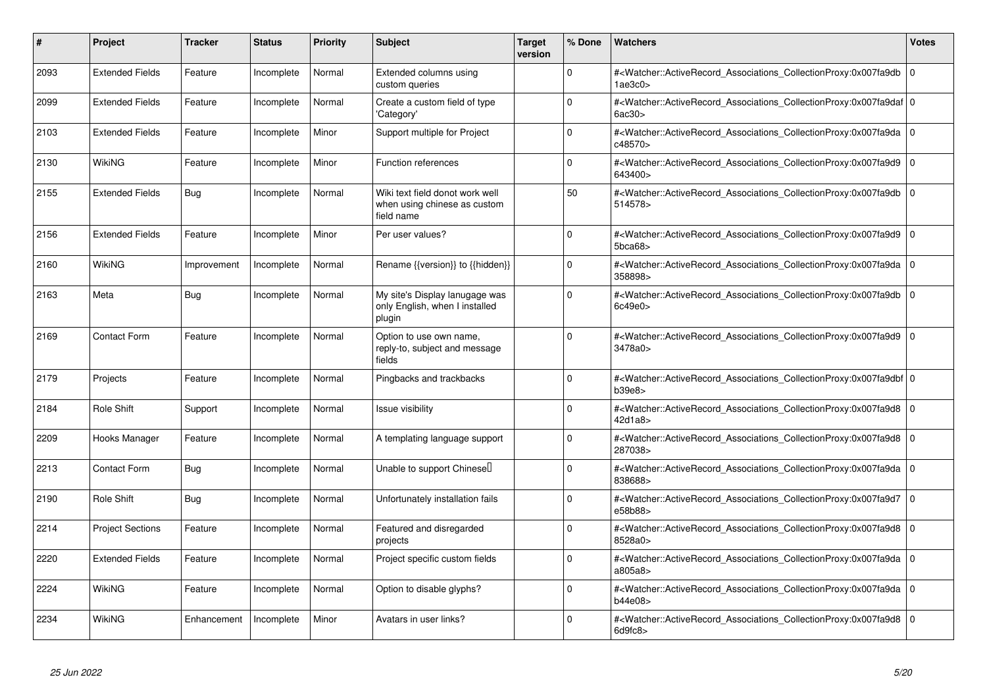| #    | Project                 | <b>Tracker</b> | <b>Status</b> | <b>Priority</b> | <b>Subject</b>                                                                | <b>Target</b><br>version | % Done      | <b>Watchers</b>                                                                                                                                          | <b>Votes</b> |
|------|-------------------------|----------------|---------------|-----------------|-------------------------------------------------------------------------------|--------------------------|-------------|----------------------------------------------------------------------------------------------------------------------------------------------------------|--------------|
| 2093 | <b>Extended Fields</b>  | Feature        | Incomplete    | Normal          | Extended columns using<br>custom queries                                      |                          | $\Omega$    | # <watcher::activerecord associations="" collectionproxy:0x007fa9db<br="">1ae3c0<sub>&gt;</sub></watcher::activerecord>                                  | $\mathbf 0$  |
| 2099 | <b>Extended Fields</b>  | Feature        | Incomplete    | Normal          | Create a custom field of type<br>'Category'                                   |                          | $\Omega$    | # <watcher::activerecord 0<br="" associations="" collectionproxy:0x007fa9daf=""  ="">6ac30&gt;</watcher::activerecord>                                   |              |
| 2103 | <b>Extended Fields</b>  | Feature        | Incomplete    | Minor           | Support multiple for Project                                                  |                          | $\Omega$    | # <watcher::activerecord 0<br="" associations="" collectionproxy:0x007fa9da=""  ="">c48570&gt;</watcher::activerecord>                                   |              |
| 2130 | WikiNG                  | Feature        | Incomplete    | Minor           | Function references                                                           |                          | $\Omega$    | # <watcher::activerecord_associations_collectionproxy:0x007fa9d9<br>643400&gt;</watcher::activerecord_associations_collectionproxy:0x007fa9d9<br>        | 0            |
| 2155 | <b>Extended Fields</b>  | Bug            | Incomplete    | Normal          | Wiki text field donot work well<br>when using chinese as custom<br>field name |                          | 50          | # <watcher::activerecord_associations_collectionproxy:0x007fa9db 0<br=""  ="">514578&gt;</watcher::activerecord_associations_collectionproxy:0x007fa9db> |              |
| 2156 | <b>Extended Fields</b>  | Feature        | Incomplete    | Minor           | Per user values?                                                              |                          | $\Omega$    | # <watcher::activerecord associations="" collectionproxy:0x007fa9d9<br="">5bca68</watcher::activerecord>                                                 | $\Omega$     |
| 2160 | WikiNG                  | Improvement    | Incomplete    | Normal          | Rename {{version}} to {{hidden}}                                              |                          | $\Omega$    | # <watcher::activerecord 0<br="" associations="" collectionproxy:0x007fa9da=""  ="">358898&gt;</watcher::activerecord>                                   |              |
| 2163 | Meta                    | Bug            | Incomplete    | Normal          | My site's Display lanugage was<br>only English, when I installed<br>plugin    |                          | $\Omega$    | # <watcher::activerecord_associations_collectionproxy:0x007fa9db<br>6c49e0&gt;</watcher::activerecord_associations_collectionproxy:0x007fa9db<br>        | $\Omega$     |
| 2169 | <b>Contact Form</b>     | Feature        | Incomplete    | Normal          | Option to use own name,<br>reply-to, subject and message<br>fields            |                          | $\Omega$    | # <watcher::activerecord associations="" collectionproxy:0x007fa9d9<br="">3478a0&gt;</watcher::activerecord>                                             | l 0          |
| 2179 | Projects                | Feature        | Incomplete    | Normal          | Pingbacks and trackbacks                                                      |                          | $\Omega$    | # <watcher::activerecord_associations_collectionproxy:0x007fa9dbf 0<br=""  ="">b39e8</watcher::activerecord_associations_collectionproxy:0x007fa9dbf>    |              |
| 2184 | <b>Role Shift</b>       | Support        | Incomplete    | Normal          | Issue visibility                                                              |                          | $\Omega$    | # <watcher::activerecord_associations_collectionproxy:0x007fa9d8 0<br=""  ="">42d1a8&gt;</watcher::activerecord_associations_collectionproxy:0x007fa9d8> |              |
| 2209 | Hooks Manager           | Feature        | Incomplete    | Normal          | A templating language support                                                 |                          | $\Omega$    | # <watcher::activerecord_associations_collectionproxy:0x007fa9d8 0<br=""  ="">287038&gt;</watcher::activerecord_associations_collectionproxy:0x007fa9d8> |              |
| 2213 | <b>Contact Form</b>     | Bug            | Incomplete    | Normal          | Unable to support Chinesell                                                   |                          | $\mathbf 0$ | # <watcher::activerecord_associations_collectionproxy:0x007fa9da 0<br=""  ="">838688&gt;</watcher::activerecord_associations_collectionproxy:0x007fa9da> |              |
| 2190 | Role Shift              | Bug            | Incomplete    | Normal          | Unfortunately installation fails                                              |                          | $\Omega$    | # <watcher::activerecord associations="" collectionproxy:0x007fa9d7<br="">e58b88&gt;</watcher::activerecord>                                             | l 0          |
| 2214 | <b>Project Sections</b> | Feature        | Incomplete    | Normal          | Featured and disregarded<br>projects                                          |                          | $\Omega$    | # <watcher::activerecord 0<br="" associations="" collectionproxy:0x007fa9d8=""  ="">8528a0&gt;</watcher::activerecord>                                   |              |
| 2220 | <b>Extended Fields</b>  | Feature        | Incomplete    | Normal          | Project specific custom fields                                                |                          | $\Omega$    | # <watcher::activerecord associations="" collectionproxy:0x007fa9da<br="">a805a8&gt;</watcher::activerecord>                                             | l 0          |
| 2224 | WikiNG                  | Feature        | Incomplete    | Normal          | Option to disable glyphs?                                                     |                          | $\Omega$    | # <watcher::activerecord_associations_collectionproxy:0x007fa9da 0<br=""  ="">b44e08&gt;</watcher::activerecord_associations_collectionproxy:0x007fa9da> |              |
| 2234 | WikiNG                  | Enhancement    | Incomplete    | Minor           | Avatars in user links?                                                        |                          | $\Omega$    | # <watcher::activerecord_associations_collectionproxy:0x007fa9d8 0<br=""  ="">6d9fc8</watcher::activerecord_associations_collectionproxy:0x007fa9d8>     |              |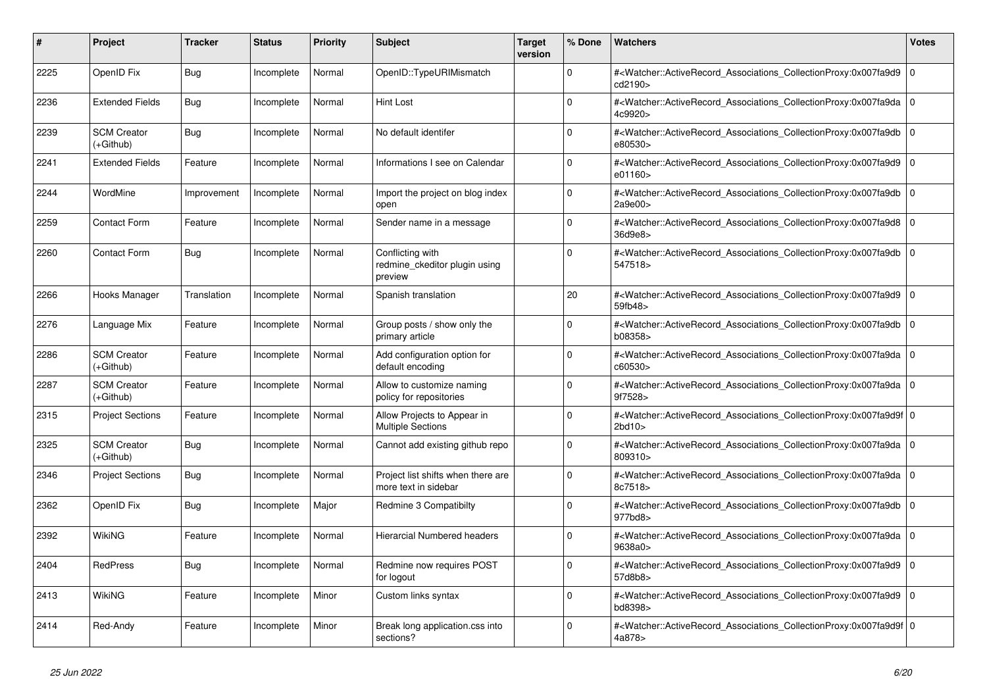| #    | Project                         | <b>Tracker</b> | <b>Status</b> | <b>Priority</b> | <b>Subject</b>                                               | <b>Target</b><br>version | % Done      | <b>Watchers</b>                                                                                                                                           | Votes          |
|------|---------------------------------|----------------|---------------|-----------------|--------------------------------------------------------------|--------------------------|-------------|-----------------------------------------------------------------------------------------------------------------------------------------------------------|----------------|
| 2225 | OpenID Fix                      | Bug            | Incomplete    | Normal          | OpenID::TypeURIMismatch                                      |                          | $\Omega$    | # <watcher::activerecord_associations_collectionproxy:0x007fa9d9<br>cd2190&gt;</watcher::activerecord_associations_collectionproxy:0x007fa9d9<br>         | l 0            |
| 2236 | <b>Extended Fields</b>          | <b>Bug</b>     | Incomplete    | Normal          | <b>Hint Lost</b>                                             |                          | $\Omega$    | # <watcher::activerecord_associations_collectionproxy:0x007fa9da<br>4c9920&gt;</watcher::activerecord_associations_collectionproxy:0x007fa9da<br>         | l O            |
| 2239 | <b>SCM Creator</b><br>(+Github) | <b>Bug</b>     | Incomplete    | Normal          | No default identifer                                         |                          | $\Omega$    | # <watcher::activerecord associations="" collectionproxy:0x007fa9db<br="">e80530&gt;</watcher::activerecord>                                              | l O            |
| 2241 | <b>Extended Fields</b>          | Feature        | Incomplete    | Normal          | Informations I see on Calendar                               |                          | $\Omega$    | # <watcher::activerecord_associations_collectionproxy:0x007fa9d9<br>e01160&gt;</watcher::activerecord_associations_collectionproxy:0x007fa9d9<br>         | l 0            |
| 2244 | WordMine                        | Improvement    | Incomplete    | Normal          | Import the project on blog index<br>open                     |                          | $\Omega$    | # <watcher::activerecord associations="" collectionproxy:0x007fa9db<br="">2a9e00&gt;</watcher::activerecord>                                              | $\overline{0}$ |
| 2259 | <b>Contact Form</b>             | Feature        | Incomplete    | Normal          | Sender name in a message                                     |                          | $\Omega$    | # <watcher::activerecord associations="" collectionproxy:0x007fa9d8<br="">36d9e8&gt;</watcher::activerecord>                                              | 0              |
| 2260 | <b>Contact Form</b>             | <b>Bug</b>     | Incomplete    | Normal          | Conflicting with<br>redmine ckeditor plugin using<br>preview |                          | $\Omega$    | # <watcher::activerecord associations="" collectionproxy:0x007fa9db<br="">547518&gt;</watcher::activerecord>                                              | l 0            |
| 2266 | Hooks Manager                   | Translation    | Incomplete    | Normal          | Spanish translation                                          |                          | 20          | # <watcher::activerecord_associations_collectionproxy:0x007fa9d9<br>59fb48&gt;</watcher::activerecord_associations_collectionproxy:0x007fa9d9<br>         | l O            |
| 2276 | Language Mix                    | Feature        | Incomplete    | Normal          | Group posts / show only the<br>primary article               |                          | $\mathbf 0$ | # <watcher::activerecord_associations_collectionproxy:0x007fa9db<br>b08358&gt;</watcher::activerecord_associations_collectionproxy:0x007fa9db<br>         | 0              |
| 2286 | <b>SCM Creator</b><br>(+Github) | Feature        | Incomplete    | Normal          | Add configuration option for<br>default encoding             |                          | $\Omega$    | # <watcher::activerecord_associations_collectionproxy:0x007fa9da<br>c60530&gt;</watcher::activerecord_associations_collectionproxy:0x007fa9da<br>         | $\overline{0}$ |
| 2287 | <b>SCM Creator</b><br>(+Github) | Feature        | Incomplete    | Normal          | Allow to customize naming<br>policy for repositories         |                          | $\Omega$    | # <watcher::activerecord associations="" collectionproxy:0x007fa9da<br="">9f7528&gt;</watcher::activerecord>                                              | l o            |
| 2315 | <b>Project Sections</b>         | Feature        | Incomplete    | Normal          | Allow Projects to Appear in<br><b>Multiple Sections</b>      |                          | $\mathbf 0$ | # <watcher::activerecord_associations_collectionproxy:0x007fa9d9f 0<br=""  ="">2bd10&gt;</watcher::activerecord_associations_collectionproxy:0x007fa9d9f> |                |
| 2325 | <b>SCM Creator</b><br>(+Github) | <b>Bug</b>     | Incomplete    | Normal          | Cannot add existing github repo                              |                          | $\Omega$    | # <watcher::activerecord_associations_collectionproxy:0x007fa9da<br>809310&gt;</watcher::activerecord_associations_collectionproxy:0x007fa9da<br>         | ۱o             |
| 2346 | <b>Project Sections</b>         | <b>Bug</b>     | Incomplete    | Normal          | Project list shifts when there are<br>more text in sidebar   |                          | $\Omega$    | # <watcher::activerecord 0<br="" associations="" collectionproxy:0x007fa9da=""  ="">8c7518&gt;</watcher::activerecord>                                    |                |
| 2362 | OpenID Fix                      | <b>Bug</b>     | Incomplete    | Major           | Redmine 3 Compatibilty                                       |                          | $\mathbf 0$ | # <watcher::activerecord associations="" collectionproxy:0x007fa9db<br="">977bd8&gt;</watcher::activerecord>                                              | 0              |
| 2392 | WikiNG                          | Feature        | Incomplete    | Normal          | <b>Hierarcial Numbered headers</b>                           |                          | $\Omega$    | # <watcher::activerecord_associations_collectionproxy:0x007fa9da<br>9638a0&gt;</watcher::activerecord_associations_collectionproxy:0x007fa9da<br>         | ۱o             |
| 2404 | <b>RedPress</b>                 | Bug            | Incomplete    | Normal          | Redmine now requires POST<br>for logout                      |                          | $\Omega$    | # <watcher::activerecord associations="" collectionproxy:0x007fa9d9<br="">57d8b8&gt;</watcher::activerecord>                                              | ۱o             |
| 2413 | <b>WikiNG</b>                   | Feature        | Incomplete    | Minor           | Custom links syntax                                          |                          | $\Omega$    | # <watcher::activerecord_associations_collectionproxy:0x007fa9d9<br>bd8398&gt;</watcher::activerecord_associations_collectionproxy:0x007fa9d9<br>         | 0              |
| 2414 | Red-Andy                        | Feature        | Incomplete    | Minor           | Break long application.css into<br>sections?                 |                          | $\Omega$    | # <watcher::activerecord_associations_collectionproxy:0x007fa9d9f 0<br=""  ="">4a878&gt;</watcher::activerecord_associations_collectionproxy:0x007fa9d9f> |                |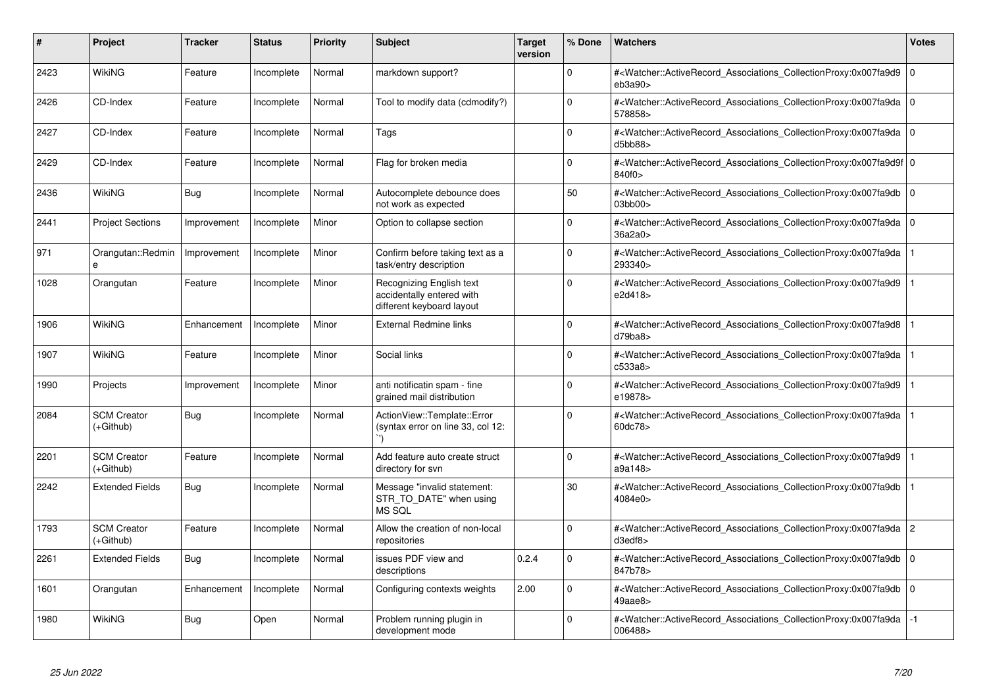| #    | Project                         | <b>Tracker</b> | <b>Status</b> | <b>Priority</b> | <b>Subject</b>                                                                     | <b>Target</b><br>version | % Done   | <b>Watchers</b>                                                                                                                                           | <b>Votes</b> |
|------|---------------------------------|----------------|---------------|-----------------|------------------------------------------------------------------------------------|--------------------------|----------|-----------------------------------------------------------------------------------------------------------------------------------------------------------|--------------|
| 2423 | <b>WikiNG</b>                   | Feature        | Incomplete    | Normal          | markdown support?                                                                  |                          | $\Omega$ | # <watcher::activerecord associations="" collectionproxy:0x007fa9d9<br="">eb3a90<sub>&gt;</sub></watcher::activerecord>                                   | $\mathbf 0$  |
| 2426 | CD-Index                        | Feature        | Incomplete    | Normal          | Tool to modify data (cdmodify?)                                                    |                          | $\Omega$ | # <watcher::activerecord associations="" collectionproxy:0x007fa9da<br="">578858&gt;</watcher::activerecord>                                              | l O          |
| 2427 | CD-Index                        | Feature        | Incomplete    | Normal          | Tags                                                                               |                          | 0        | # <watcher::activerecord_associations_collectionproxy:0x007fa9da 0<br="">d5bb88&gt;</watcher::activerecord_associations_collectionproxy:0x007fa9da>       |              |
| 2429 | CD-Index                        | Feature        | Incomplete    | Normal          | Flag for broken media                                                              |                          | $\Omega$ | # <watcher::activerecord_associations_collectionproxy:0x007fa9d9f 0<br=""  ="">840f0&gt;</watcher::activerecord_associations_collectionproxy:0x007fa9d9f> |              |
| 2436 | <b>WikiNG</b>                   | <b>Bug</b>     | Incomplete    | Normal          | Autocomplete debounce does<br>not work as expected                                 |                          | 50       | # <watcher::activerecord_associations_collectionproxy:0x007fa9db<br>03bb00&gt;</watcher::activerecord_associations_collectionproxy:0x007fa9db<br>         | l O          |
| 2441 | <b>Project Sections</b>         | Improvement    | Incomplete    | Minor           | Option to collapse section                                                         |                          | $\Omega$ | # <watcher::activerecord_associations_collectionproxy:0x007fa9da<br>36a2a0&gt;</watcher::activerecord_associations_collectionproxy:0x007fa9da<br>         | $\Omega$     |
| 971  | Orangutan::Redmin               | Improvement    | Incomplete    | Minor           | Confirm before taking text as a<br>task/entry description                          |                          | $\Omega$ | # <watcher::activerecord_associations_collectionproxy:0x007fa9da<br>293340&gt;</watcher::activerecord_associations_collectionproxy:0x007fa9da<br>         |              |
| 1028 | Orangutan                       | Feature        | Incomplete    | Minor           | Recognizing English text<br>accidentally entered with<br>different keyboard layout |                          | $\Omega$ | # <watcher::activerecord associations="" collectionproxy:0x007fa9d9<br="">e2d418&gt;</watcher::activerecord>                                              |              |
| 1906 | WikiNG                          | Enhancement    | Incomplete    | Minor           | External Redmine links                                                             |                          | $\Omega$ | # <watcher::activerecord_associations_collectionproxy:0x007fa9d8<br>d79ba8</watcher::activerecord_associations_collectionproxy:0x007fa9d8<br>             |              |
| 1907 | WikiNG                          | Feature        | Incomplete    | Minor           | Social links                                                                       |                          | $\Omega$ | # <watcher::activerecord_associations_collectionproxy:0x007fa9da<br>c533a8&gt;</watcher::activerecord_associations_collectionproxy:0x007fa9da<br>         |              |
| 1990 | Projects                        | Improvement    | Incomplete    | Minor           | anti notificatin spam - fine<br>grained mail distribution                          |                          | $\Omega$ | # <watcher::activerecord_associations_collectionproxy:0x007fa9d9<br>e19878&gt;</watcher::activerecord_associations_collectionproxy:0x007fa9d9<br>         |              |
| 2084 | <b>SCM Creator</b><br>(+Github) | Bug            | Incomplete    | Normal          | ActionView::Template::Error<br>(syntax error on line 33, col 12:                   |                          | $\Omega$ | # <watcher::activerecord associations="" collectionproxy:0x007fa9da<br="">60dc78&gt;</watcher::activerecord>                                              |              |
| 2201 | <b>SCM Creator</b><br>(+Github) | Feature        | Incomplete    | Normal          | Add feature auto create struct<br>directory for svn                                |                          | $\Omega$ | # <watcher::activerecord_associations_collectionproxy:0x007fa9d9<br>a9a148&gt;</watcher::activerecord_associations_collectionproxy:0x007fa9d9<br>         |              |
| 2242 | <b>Extended Fields</b>          | <b>Bug</b>     | Incomplete    | Normal          | Message "invalid statement:<br>STR_TO_DATE" when using<br>MS SQL                   |                          | 30       | # <watcher::activerecord_associations_collectionproxy:0x007fa9db<br>4084e0&gt;</watcher::activerecord_associations_collectionproxy:0x007fa9db<br>         |              |
| 1793 | <b>SCM Creator</b><br>(+Github) | Feature        | Incomplete    | Normal          | Allow the creation of non-local<br>repositories                                    |                          | $\Omega$ | # <watcher::activerecord associations="" collectionproxy:0x007fa9da=""  <br="">d3edf8</watcher::activerecord>                                             | 2            |
| 2261 | <b>Extended Fields</b>          | Bug            | Incomplete    | Normal          | issues PDF view and<br>descriptions                                                | 0.2.4                    | $\Omega$ | # <watcher::activerecord associations="" collectionproxy:0x007fa9db<br="">847b78&gt;</watcher::activerecord>                                              | $\Omega$     |
| 1601 | Orangutan                       | Enhancement    | Incomplete    | Normal          | Configuring contexts weights                                                       | 2.00                     | $\Omega$ | # <watcher::activerecord_associations_collectionproxy:0x007fa9db<br>49aae8&gt;</watcher::activerecord_associations_collectionproxy:0x007fa9db<br>         | $\Omega$     |
| 1980 | WikiNG                          | Bug            | Open          | Normal          | Problem running plugin in<br>development mode                                      |                          | $\Omega$ | # <watcher::activerecord_associations_collectionproxy:0x007fa9da<br>006488&gt;</watcher::activerecord_associations_collectionproxy:0x007fa9da<br>         | $-1$         |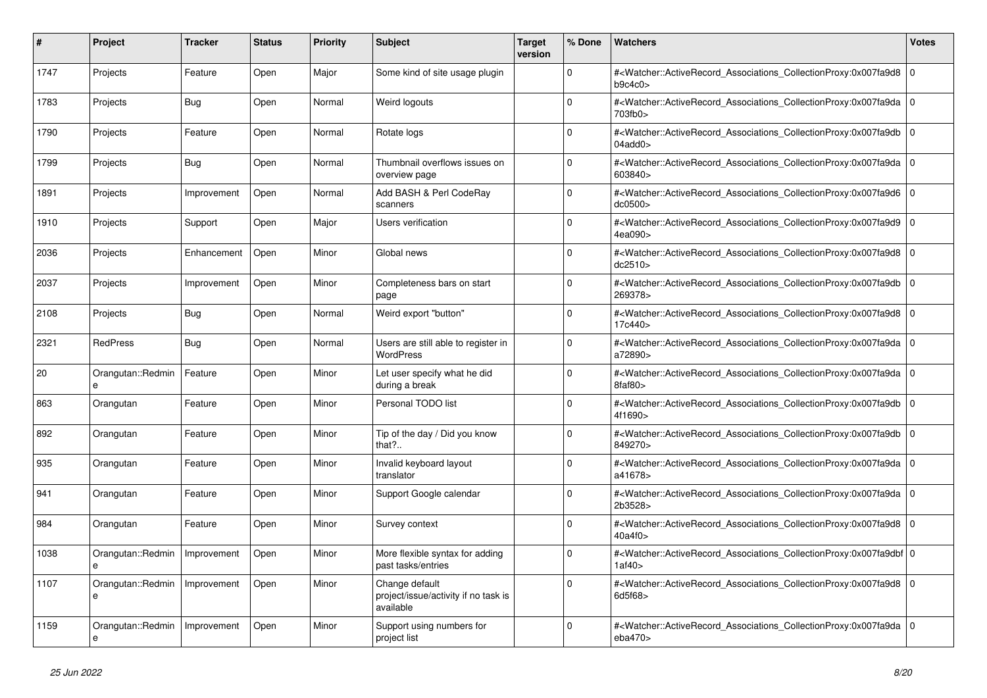| #    | Project                | <b>Tracker</b> | <b>Status</b> | <b>Priority</b> | <b>Subject</b>                                                      | <b>Target</b><br>version | % Done      | <b>Watchers</b>                                                                                                                                           | Votes          |
|------|------------------------|----------------|---------------|-----------------|---------------------------------------------------------------------|--------------------------|-------------|-----------------------------------------------------------------------------------------------------------------------------------------------------------|----------------|
| 1747 | Projects               | Feature        | Open          | Major           | Some kind of site usage plugin                                      |                          | $\Omega$    | # <watcher::activerecord_associations_collectionproxy:0x007fa9d8<br>b9c4c0</watcher::activerecord_associations_collectionproxy:0x007fa9d8<br>             | l 0            |
| 1783 | Projects               | <b>Bug</b>     | Open          | Normal          | Weird logouts                                                       |                          | $\Omega$    | # <watcher::activerecord_associations_collectionproxy:0x007fa9da<br>703fb0&gt;</watcher::activerecord_associations_collectionproxy:0x007fa9da<br>         | l O            |
| 1790 | Projects               | Feature        | Open          | Normal          | Rotate logs                                                         |                          | $\Omega$    | # <watcher::activerecord associations="" collectionproxy:0x007fa9db<br=""><math>04</math>add<math>0</math></watcher::activerecord>                        | 10             |
| 1799 | Projects               | <b>Bug</b>     | Open          | Normal          | Thumbnail overflows issues on<br>overview page                      |                          | $\Omega$    | # <watcher::activerecord_associations_collectionproxy:0x007fa9da<br>603840&gt;</watcher::activerecord_associations_collectionproxy:0x007fa9da<br>         | l 0            |
| 1891 | Projects               | Improvement    | Open          | Normal          | Add BASH & Perl CodeRay<br>scanners                                 |                          | $\Omega$    | # <watcher::activerecord_associations_collectionproxy:0x007fa9d6<br>dc0500&gt;</watcher::activerecord_associations_collectionproxy:0x007fa9d6<br>         | l o            |
| 1910 | Projects               | Support        | Open          | Major           | <b>Users verification</b>                                           |                          | $\Omega$    | # <watcher::activerecord associations="" collectionproxy:0x007fa9d9<br="">4ea090&gt;</watcher::activerecord>                                              | l O            |
| 2036 | Projects               | Enhancement    | Open          | Minor           | Global news                                                         |                          | $\Omega$    | # <watcher::activerecord associations="" collectionproxy:0x007fa9d8<br="">dc2510&gt;</watcher::activerecord>                                              | l 0            |
| 2037 | Projects               | Improvement    | Open          | Minor           | Completeness bars on start<br>page                                  |                          | $\Omega$    | # <watcher::activerecord_associations_collectionproxy:0x007fa9db<br>269378&gt;</watcher::activerecord_associations_collectionproxy:0x007fa9db<br>         | $\overline{0}$ |
| 2108 | Projects               | <b>Bug</b>     | Open          | Normal          | Weird export "button"                                               |                          | $\mathbf 0$ | # <watcher::activerecord_associations_collectionproxy:0x007fa9d8<br>17c440&gt;</watcher::activerecord_associations_collectionproxy:0x007fa9d8<br>         | l o            |
| 2321 | RedPress               | <b>Bug</b>     | Open          | Normal          | Users are still able to register in<br><b>WordPress</b>             |                          | $\Omega$    | # <watcher::activerecord associations="" collectionproxy:0x007fa9da<br="">a72890&gt;</watcher::activerecord>                                              | 0              |
| 20   | Orangutan::Redmin<br>e | Feature        | Open          | Minor           | Let user specify what he did<br>during a break                      |                          | $\Omega$    | # <watcher::activerecord_associations_collectionproxy:0x007fa9da<br>8faf80</watcher::activerecord_associations_collectionproxy:0x007fa9da<br>             | l O            |
| 863  | Orangutan              | Feature        | Open          | Minor           | Personal TODO list                                                  |                          | $\Omega$    | # <watcher::activerecord associations="" collectionproxy:0x007fa9db<br="">4f1690&gt;</watcher::activerecord>                                              | 0              |
| 892  | Orangutan              | Feature        | Open          | Minor           | Tip of the day / Did you know<br>that?                              |                          | $\Omega$    | # <watcher::activerecord associations="" collectionproxy:0x007fa9db<br="">849270&gt;</watcher::activerecord>                                              | 0              |
| 935  | Orangutan              | Feature        | Open          | Minor           | Invalid keyboard layout<br>translator                               |                          | $\Omega$    | # <watcher::activerecord_associations_collectionproxy:0x007fa9da 0<br=""  ="">a41678&gt;</watcher::activerecord_associations_collectionproxy:0x007fa9da>  |                |
| 941  | Orangutan              | Feature        | Open          | Minor           | Support Google calendar                                             |                          | $\Omega$    | # <watcher::activerecord_associations_collectionproxy:0x007fa9da<br>2b3528&gt;</watcher::activerecord_associations_collectionproxy:0x007fa9da<br>         | l o            |
| 984  | Orangutan              | Feature        | Open          | Minor           | Survey context                                                      |                          | $\Omega$    | # <watcher::activerecord_associations_collectionproxy:0x007fa9d8 0<br=""  ="">40a4f0&gt;</watcher::activerecord_associations_collectionproxy:0x007fa9d8>  |                |
| 1038 | Orangutan::Redmin<br>e | Improvement    | Open          | Minor           | More flexible syntax for adding<br>past tasks/entries               |                          | $\Omega$    | # <watcher::activerecord_associations_collectionproxy:0x007fa9dbf 0<br=""  ="">1af40&gt;</watcher::activerecord_associations_collectionproxy:0x007fa9dbf> |                |
| 1107 | Orangutan::Redmin<br>e | Improvement    | Open          | Minor           | Change default<br>project/issue/activity if no task is<br>available |                          | $\Omega$    | # <watcher::activerecord_associations_collectionproxy:0x007fa9d8<br>6d5f68&gt;</watcher::activerecord_associations_collectionproxy:0x007fa9d8<br>         | l O            |
| 1159 | Orangutan::Redmin<br>e | Improvement    | Open          | Minor           | Support using numbers for<br>project list                           |                          | $\Omega$    | # <watcher::activerecord_associations_collectionproxy:0x007fa9da<br>eba470&gt;</watcher::activerecord_associations_collectionproxy:0x007fa9da<br>         | 0              |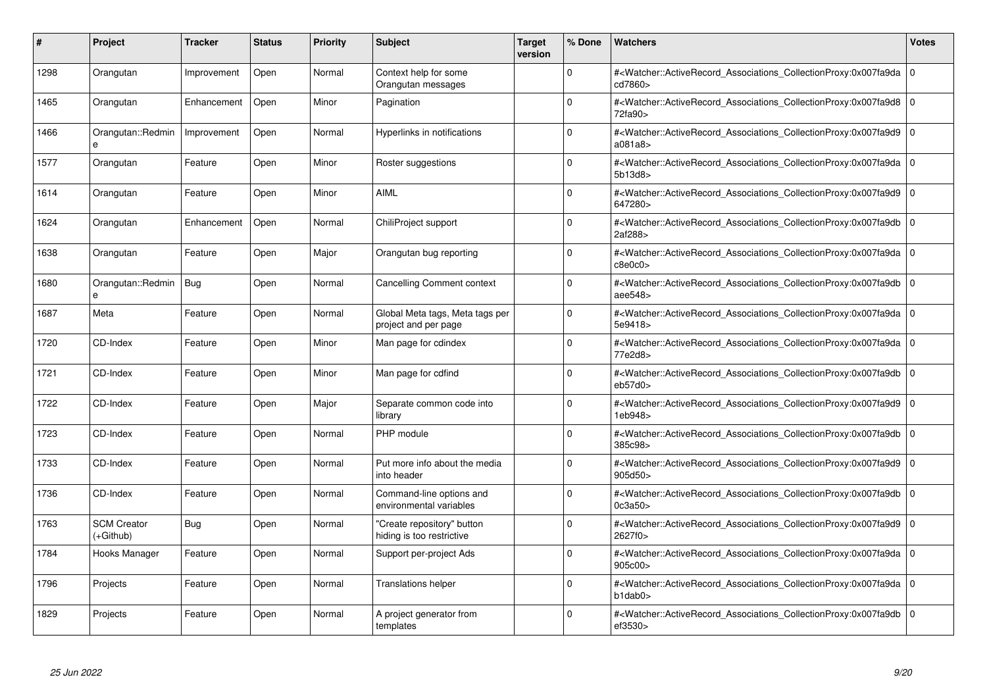| #    | Project                         | <b>Tracker</b> | <b>Status</b> | <b>Priority</b> | <b>Subject</b>                                          | <b>Target</b><br>version | % Done   | <b>Watchers</b>                                                                                                                                          | <b>Votes</b> |
|------|---------------------------------|----------------|---------------|-----------------|---------------------------------------------------------|--------------------------|----------|----------------------------------------------------------------------------------------------------------------------------------------------------------|--------------|
| 1298 | Orangutan                       | Improvement    | Open          | Normal          | Context help for some<br>Orangutan messages             |                          | $\Omega$ | # <watcher::activerecord associations="" collectionproxy:0x007fa9da<br="">cd7860&gt;</watcher::activerecord>                                             | $\mathbf 0$  |
| 1465 | Orangutan                       | Enhancement    | Open          | Minor           | Pagination                                              |                          | $\Omega$ | # <watcher::activerecord associations="" collectionproxy:0x007fa9d8=""  <br="">72fa90&gt;</watcher::activerecord>                                        | $\mathbf 0$  |
| 1466 | Orangutan::Redmin<br>e          | Improvement    | Open          | Normal          | Hyperlinks in notifications                             |                          | $\Omega$ | # <watcher::activerecord_associations_collectionproxy:0x007fa9d9  <br="">a081a8</watcher::activerecord_associations_collectionproxy:0x007fa9d9>          | $\Omega$     |
| 1577 | Orangutan                       | Feature        | Open          | Minor           | Roster suggestions                                      |                          | $\Omega$ | # <watcher::activerecord 0<br="" associations="" collectionproxy:0x007fa9da=""  ="">5b13d8</watcher::activerecord>                                       |              |
| 1614 | Orangutan                       | Feature        | Open          | Minor           | <b>AIML</b>                                             |                          | $\Omega$ | # <watcher::activerecord_associations_collectionproxy:0x007fa9d9  <br="">647280&gt;</watcher::activerecord_associations_collectionproxy:0x007fa9d9>      | $\Omega$     |
| 1624 | Orangutan                       | Enhancement    | Open          | Normal          | ChiliProject support                                    |                          | $\Omega$ | # <watcher::activerecord_associations_collectionproxy:0x007fa9db<br>2af288&gt;</watcher::activerecord_associations_collectionproxy:0x007fa9db<br>        | $\Omega$     |
| 1638 | Orangutan                       | Feature        | Open          | Major           | Orangutan bug reporting                                 |                          | $\Omega$ | # <watcher::activerecord 0<br="" associations="" collectionproxy:0x007fa9da=""  ="">c8e0c0&gt;</watcher::activerecord>                                   |              |
| 1680 | Orangutan::Redmin<br>e          | Bug            | Open          | Normal          | Cancelling Comment context                              |                          | $\Omega$ | # <watcher::activerecord_associations_collectionproxy:0x007fa9db<br>aee548&gt;</watcher::activerecord_associations_collectionproxy:0x007fa9db<br>        | $\Omega$     |
| 1687 | Meta                            | Feature        | Open          | Normal          | Global Meta tags, Meta tags per<br>project and per page |                          | $\Omega$ | # <watcher::activerecord associations="" collectionproxy:0x007fa9da=""  <br="">5e9418&gt;</watcher::activerecord>                                        | $\mathbf 0$  |
| 1720 | CD-Index                        | Feature        | Open          | Minor           | Man page for cdindex                                    |                          | $\Omega$ | # <watcher::activerecord 0<br="" associations="" collectionproxy:0x007fa9da=""  ="">77e2d8&gt;</watcher::activerecord>                                   |              |
| 1721 | CD-Index                        | Feature        | Open          | Minor           | Man page for cdfind                                     |                          | $\Omega$ | # <watcher::activerecord_associations_collectionproxy:0x007fa9db 0<br=""  ="">eb57d0</watcher::activerecord_associations_collectionproxy:0x007fa9db>     |              |
| 1722 | CD-Index                        | Feature        | Open          | Major           | Separate common code into<br>library                    |                          | $\Omega$ | # <watcher::activerecord associations="" collectionproxy:0x007fa9d9<br="">1eb948&gt;</watcher::activerecord>                                             | $\mathbf 0$  |
| 1723 | CD-Index                        | Feature        | Open          | Normal          | PHP module                                              |                          | $\Omega$ | # <watcher::activerecord associations="" collectionproxy:0x007fa9db<br="">385c98&gt;</watcher::activerecord>                                             | $\mathbf 0$  |
| 1733 | CD-Index                        | Feature        | Open          | Normal          | Put more info about the media<br>into header            |                          | $\Omega$ | # <watcher::activerecord_associations_collectionproxy:0x007fa9d9<br>905d50&gt;</watcher::activerecord_associations_collectionproxy:0x007fa9d9<br>        | $\Omega$     |
| 1736 | CD-Index                        | Feature        | Open          | Normal          | Command-line options and<br>environmental variables     |                          | $\Omega$ | # <watcher::activerecord 0<br="" associations="" collectionproxy:0x007fa9db=""  ="">0c3a50</watcher::activerecord>                                       |              |
| 1763 | <b>SCM Creator</b><br>(+Github) | Bug            | Open          | Normal          | 'Create repository" button<br>hiding is too restrictive |                          | $\Omega$ | # <watcher::activerecord_associations_collectionproxy:0x007fa9d9<br>2627f0&gt;</watcher::activerecord_associations_collectionproxy:0x007fa9d9<br>        | $\mathbf 0$  |
| 1784 | Hooks Manager                   | Feature        | Open          | Normal          | Support per-project Ads                                 |                          | $\Omega$ | # <watcher::activerecord 0<br="" associations="" collectionproxy:0x007fa9da=""  ="">905c00&gt;</watcher::activerecord>                                   |              |
| 1796 | Projects                        | Feature        | Open          | Normal          | <b>Translations helper</b>                              |                          | $\Omega$ | # <watcher::activerecord associations="" collectionproxy:0x007fa9da<br="">b1dab0&gt;</watcher::activerecord>                                             | $\mathbf 0$  |
| 1829 | Projects                        | Feature        | Open          | Normal          | A project generator from<br>templates                   |                          | $\Omega$ | # <watcher::activerecord_associations_collectionproxy:0x007fa9db 0<br=""  ="">ef3530&gt;</watcher::activerecord_associations_collectionproxy:0x007fa9db> |              |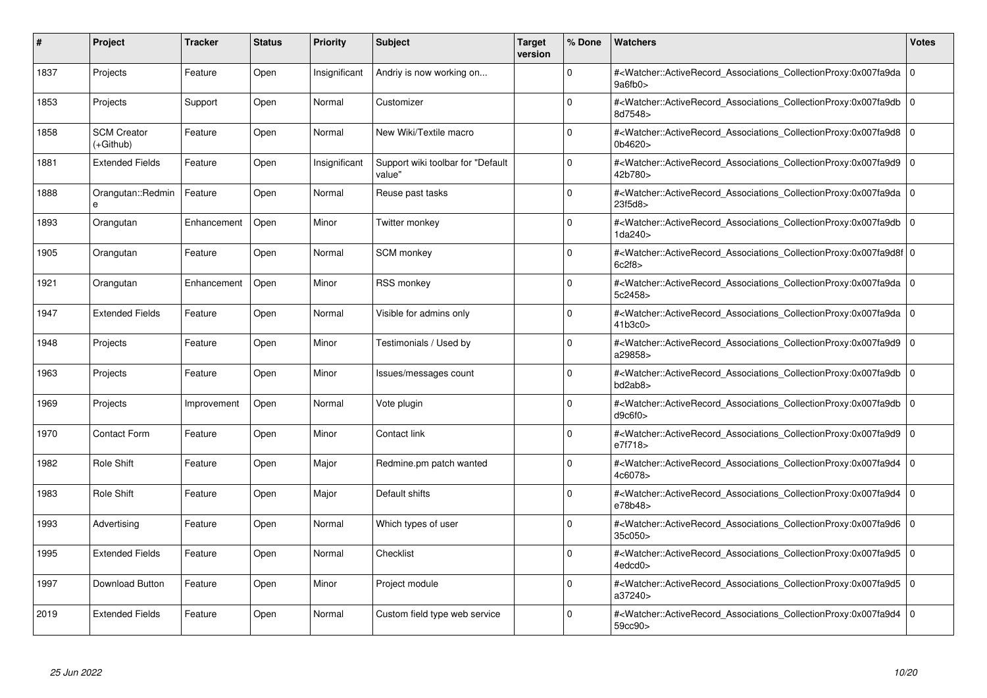| #    | Project                         | <b>Tracker</b> | <b>Status</b> | <b>Priority</b> | <b>Subject</b>                              | <b>Target</b><br>version | % Done   | <b>Watchers</b>                                                                                                                                          | <b>Votes</b> |
|------|---------------------------------|----------------|---------------|-----------------|---------------------------------------------|--------------------------|----------|----------------------------------------------------------------------------------------------------------------------------------------------------------|--------------|
| 1837 | Projects                        | Feature        | Open          | Insignificant   | Andriy is now working on                    |                          | $\Omega$ | # <watcher::activerecord associations="" collectionproxy:0x007fa9da=""  <br="">9a6fb0&gt;</watcher::activerecord>                                        | $\mathbf 0$  |
| 1853 | Projects                        | Support        | Open          | Normal          | Customizer                                  |                          | $\Omega$ | # <watcher::activerecord 0<br="" associations="" collectionproxy:0x007fa9db=""  ="">8d7548&gt;</watcher::activerecord>                                   |              |
| 1858 | <b>SCM Creator</b><br>(+Github) | Feature        | Open          | Normal          | New Wiki/Textile macro                      |                          | $\Omega$ | # <watcher::activerecord_associations_collectionproxy:0x007fa9d8<br>0b4620&gt;</watcher::activerecord_associations_collectionproxy:0x007fa9d8<br>        | $\Omega$     |
| 1881 | <b>Extended Fields</b>          | Feature        | Open          | Insignificant   | Support wiki toolbar for "Default<br>value" |                          | $\Omega$ | # <watcher::activerecord_associations_collectionproxy:0x007fa9d9 0<br="">42b780&gt;</watcher::activerecord_associations_collectionproxy:0x007fa9d9>      |              |
| 1888 | Orangutan::Redmin               | Feature        | Open          | Normal          | Reuse past tasks                            |                          | $\Omega$ | # <watcher::activerecord_associations_collectionproxy:0x007fa9da  <br="">23f5d8&gt;</watcher::activerecord_associations_collectionproxy:0x007fa9da>      | $\mathbf 0$  |
| 1893 | Orangutan                       | Enhancement    | Open          | Minor           | Twitter monkey                              |                          | $\Omega$ | # <watcher::activerecord_associations_collectionproxy:0x007fa9db  <br="">1da240&gt;</watcher::activerecord_associations_collectionproxy:0x007fa9db>      | $\Omega$     |
| 1905 | Orangutan                       | Feature        | Open          | Normal          | <b>SCM</b> monkey                           |                          | $\Omega$ | # <watcher::activerecord 0<br="" associations="" collectionproxy:0x007fa9d8f=""  ="">6c2f8</watcher::activerecord>                                       |              |
| 1921 | Orangutan                       | Enhancement    | Open          | Minor           | RSS monkey                                  |                          | $\Omega$ | # <watcher::activerecord_associations_collectionproxy:0x007fa9da 0<br=""  ="">5c2458&gt;</watcher::activerecord_associations_collectionproxy:0x007fa9da> |              |
| 1947 | <b>Extended Fields</b>          | Feature        | Open          | Normal          | Visible for admins only                     |                          | $\Omega$ | # <watcher::activerecord 0<br="" associations="" collectionproxy:0x007fa9da="">41b3c0</watcher::activerecord>                                            |              |
| 1948 | Projects                        | Feature        | Open          | Minor           | Testimonials / Used by                      |                          | $\Omega$ | # <watcher::activerecord associations="" collectionproxy:0x007fa9d9=""  <br="">a29858&gt;</watcher::activerecord>                                        | $\mathbf 0$  |
| 1963 | Projects                        | Feature        | Open          | Minor           | lssues/messages count                       |                          | $\Omega$ | # <watcher::activerecord_associations_collectionproxy:0x007fa9db<br>bd2ab8&gt;</watcher::activerecord_associations_collectionproxy:0x007fa9db<br>        | $\Omega$     |
| 1969 | Projects                        | Improvement    | Open          | Normal          | Vote plugin                                 |                          | $\Omega$ | # <watcher::activerecord associations="" collectionproxy:0x007fa9db=""  <br="">d9c6f0</watcher::activerecord>                                            | $\mathbf 0$  |
| 1970 | <b>Contact Form</b>             | Feature        | Open          | Minor           | Contact link                                |                          | $\Omega$ | # <watcher::activerecord associations="" collectionproxy:0x007fa9d9<br="">e7f718&gt;</watcher::activerecord>                                             | $\mathbf 0$  |
| 1982 | Role Shift                      | Feature        | Open          | Major           | Redmine.pm patch wanted                     |                          | $\Omega$ | # <watcher::activerecord_associations_collectionproxy:0x007fa9d4<br>4c6078&gt;</watcher::activerecord_associations_collectionproxy:0x007fa9d4<br>        | $\Omega$     |
| 1983 | Role Shift                      | Feature        | Open          | Major           | Default shifts                              |                          | $\Omega$ | # <watcher::activerecord 0<br="" associations="" collectionproxy:0x007fa9d4=""  ="">e78b48&gt;</watcher::activerecord>                                   |              |
| 1993 | Advertising                     | Feature        | Open          | Normal          | Which types of user                         |                          | $\Omega$ | # <watcher::activerecord_associations_collectionproxy:0x007fa9d6 0<br=""  ="">35c050&gt;</watcher::activerecord_associations_collectionproxy:0x007fa9d6> |              |
| 1995 | <b>Extended Fields</b>          | Feature        | Open          | Normal          | Checklist                                   |                          | $\Omega$ | # <watcher::activerecord_associations_collectionproxy:0x007fa9d5 0<br=""  ="">4edcd0&gt;</watcher::activerecord_associations_collectionproxy:0x007fa9d5> |              |
| 1997 | Download Button                 | Feature        | Open          | Minor           | Project module                              |                          | $\Omega$ | # <watcher::activerecord 0<br="" associations="" collectionproxy:0x007fa9d5=""  ="">a37240&gt;</watcher::activerecord>                                   |              |
| 2019 | <b>Extended Fields</b>          | Feature        | Open          | Normal          | Custom field type web service               |                          | $\Omega$ | # <watcher::activerecord_associations_collectionproxy:0x007fa9d4 0<br=""  ="">59cc90&gt;</watcher::activerecord_associations_collectionproxy:0x007fa9d4> |              |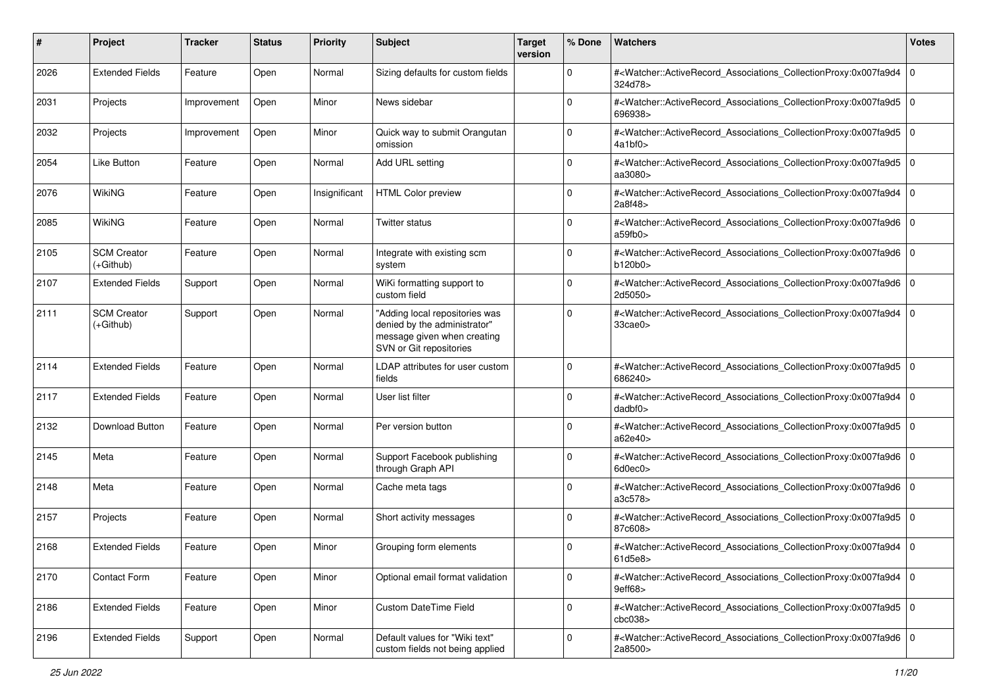| #    | Project                         | <b>Tracker</b> | <b>Status</b> | <b>Priority</b> | <b>Subject</b>                                                                                                           | <b>Target</b><br>version | % Done      | Watchers                                                                                                                                                                       | Votes          |
|------|---------------------------------|----------------|---------------|-----------------|--------------------------------------------------------------------------------------------------------------------------|--------------------------|-------------|--------------------------------------------------------------------------------------------------------------------------------------------------------------------------------|----------------|
| 2026 | <b>Extended Fields</b>          | Feature        | Open          | Normal          | Sizing defaults for custom fields                                                                                        |                          | $\mathbf 0$ | # <watcher::activerecord_associations_collectionproxy:0x007fa9d4 0<br=""  ="">324d78&gt;</watcher::activerecord_associations_collectionproxy:0x007fa9d4>                       |                |
| 2031 | Projects                        | Improvement    | Open          | Minor           | News sidebar                                                                                                             |                          | $\Omega$    | # <watcher::activerecord_associations_collectionproxy:0x007fa9d5 0<br=""  ="">696938&gt;</watcher::activerecord_associations_collectionproxy:0x007fa9d5>                       |                |
| 2032 | Projects                        | Improvement    | Open          | Minor           | Quick way to submit Orangutan<br>omission                                                                                |                          | $\Omega$    | # <watcher::activerecord_associations_collectionproxy:0x007fa9d5 0<br=""  ="">4a1bf0&gt;</watcher::activerecord_associations_collectionproxy:0x007fa9d5>                       |                |
| 2054 | <b>Like Button</b>              | Feature        | Open          | Normal          | Add URL setting                                                                                                          |                          | $\Omega$    | # <watcher::activerecord_associations_collectionproxy:0x007fa9d5<br>aa3080&gt;</watcher::activerecord_associations_collectionproxy:0x007fa9d5<br>                              | $\overline{0}$ |
| 2076 | WikiNG                          | Feature        | Open          | Insignificant   | <b>HTML Color preview</b>                                                                                                |                          | $\Omega$    | # <watcher::activerecord_associations_collectionproxy:0x007fa9d4 0<br=""  ="">2a8f48&gt;</watcher::activerecord_associations_collectionproxy:0x007fa9d4>                       |                |
| 2085 | WikiNG                          | Feature        | Open          | Normal          | Twitter status                                                                                                           |                          | $\Omega$    | # <watcher::activerecord_associations_collectionproxy:0x007fa9d6 0<br=""  ="">a59fb0&gt;</watcher::activerecord_associations_collectionproxy:0x007fa9d6>                       |                |
| 2105 | <b>SCM Creator</b><br>(+Github) | Feature        | Open          | Normal          | Integrate with existing scm<br>system                                                                                    |                          | $\Omega$    | # <watcher::activerecord_associations_collectionproxy:0x007fa9d6 0<br="">b120b0</watcher::activerecord_associations_collectionproxy:0x007fa9d6>                                |                |
| 2107 | <b>Extended Fields</b>          | Support        | Open          | Normal          | WiKi formatting support to<br>custom field                                                                               |                          | $\Omega$    | # <watcher::activerecord_associations_collectionproxy:0x007fa9d6 0<br=""  ="">2d5050&gt;</watcher::activerecord_associations_collectionproxy:0x007fa9d6>                       |                |
| 2111 | <b>SCM Creator</b><br>(+Github) | Support        | Open          | Normal          | "Adding local repositories was<br>denied by the administrator"<br>message given when creating<br>SVN or Git repositories |                          | $\Omega$    | # <watcher::activerecord_associations_collectionproxy:0x007fa9d4 0<br=""  =""><math>33</math>cae<math>0</math></watcher::activerecord_associations_collectionproxy:0x007fa9d4> |                |
| 2114 | <b>Extended Fields</b>          | Feature        | Open          | Normal          | LDAP attributes for user custom<br>fields                                                                                |                          | $\Omega$    | # <watcher::activerecord_associations_collectionproxy:0x007fa9d5 0<br="">686240&gt;</watcher::activerecord_associations_collectionproxy:0x007fa9d5>                            |                |
| 2117 | <b>Extended Fields</b>          | Feature        | Open          | Normal          | User list filter                                                                                                         |                          | $\Omega$    | # <watcher::activerecord_associations_collectionproxy:0x007fa9d4 0<br=""  ="">dadbf0&gt;</watcher::activerecord_associations_collectionproxy:0x007fa9d4>                       |                |
| 2132 | Download Button                 | Feature        | Open          | Normal          | Per version button                                                                                                       |                          | $\Omega$    | # <watcher::activerecord_associations_collectionproxy:0x007fa9d5 0<br=""  ="">a62e40&gt;</watcher::activerecord_associations_collectionproxy:0x007fa9d5>                       |                |
| 2145 | Meta                            | Feature        | Open          | Normal          | Support Facebook publishing<br>through Graph API                                                                         |                          | $\Omega$    | # <watcher::activerecord_associations_collectionproxy:0x007fa9d6 0<br=""  ="">6d0ec0&gt;</watcher::activerecord_associations_collectionproxy:0x007fa9d6>                       |                |
| 2148 | Meta                            | Feature        | Open          | Normal          | Cache meta tags                                                                                                          |                          | $\Omega$    | # <watcher::activerecord_associations_collectionproxy:0x007fa9d6 0<br=""  ="">a3c578&gt;</watcher::activerecord_associations_collectionproxy:0x007fa9d6>                       |                |
| 2157 | Projects                        | Feature        | Open          | Normal          | Short activity messages                                                                                                  |                          | $\Omega$    | # <watcher::activerecord_associations_collectionproxy:0x007fa9d5 0<br=""  ="">87c608&gt;</watcher::activerecord_associations_collectionproxy:0x007fa9d5>                       |                |
| 2168 | <b>Extended Fields</b>          | Feature        | Open          | Minor           | Grouping form elements                                                                                                   |                          | $\Omega$    | # <watcher::activerecord_associations_collectionproxy:0x007fa9d4 0<br=""  ="">61d5e8&gt;</watcher::activerecord_associations_collectionproxy:0x007fa9d4>                       |                |
| 2170 | Contact Form                    | Feature        | Open          | Minor           | Optional email format validation                                                                                         |                          | 0           | # <watcher::activerecord_associations_collectionproxy:0x007fa9d4 0<br=""  ="">9eff68&gt;</watcher::activerecord_associations_collectionproxy:0x007fa9d4>                       |                |
| 2186 | <b>Extended Fields</b>          | Feature        | Open          | Minor           | <b>Custom DateTime Field</b>                                                                                             |                          | $\Omega$    | # <watcher::activerecord_associations_collectionproxy:0x007fa9d5 0<br="">cbc038<sub>&gt;</sub></watcher::activerecord_associations_collectionproxy:0x007fa9d5>                 |                |
| 2196 | <b>Extended Fields</b>          | Support        | Open          | Normal          | Default values for "Wiki text"<br>custom fields not being applied                                                        |                          | $\Omega$    | # <watcher::activerecord 0<br="" associations="" collectionproxy:0x007fa9d6="">2a8500&gt;</watcher::activerecord>                                                              |                |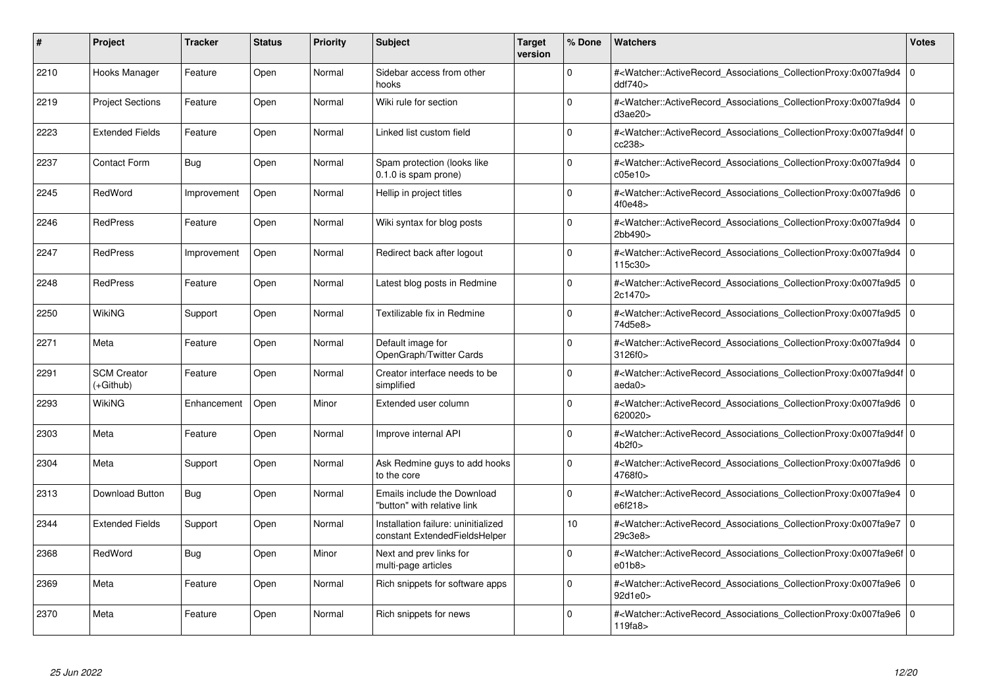| #    | Project                         | <b>Tracker</b> | <b>Status</b> | <b>Priority</b> | <b>Subject</b>                                                       | <b>Target</b><br>version | % Done      | <b>Watchers</b>                                                                                                                                          | <b>Votes</b> |
|------|---------------------------------|----------------|---------------|-----------------|----------------------------------------------------------------------|--------------------------|-------------|----------------------------------------------------------------------------------------------------------------------------------------------------------|--------------|
| 2210 | Hooks Manager                   | Feature        | Open          | Normal          | Sidebar access from other<br>hooks                                   |                          | $\Omega$    | # <watcher::activerecord associations="" collectionproxy:0x007fa9d4<br="">ddf740</watcher::activerecord>                                                 | $\Omega$     |
| 2219 | <b>Project Sections</b>         | Feature        | Open          | Normal          | Wiki rule for section                                                |                          | $\Omega$    | # <watcher::activerecord 0<br="" associations="" collectionproxy:0x007fa9d4=""  ="">d3ae20&gt;</watcher::activerecord>                                   |              |
| 2223 | <b>Extended Fields</b>          | Feature        | Open          | Normal          | Linked list custom field                                             |                          | $\Omega$    | # <watcher::activerecord_associations_collectionproxy:0x007fa9d4f 0<br="">cc238</watcher::activerecord_associations_collectionproxy:0x007fa9d4f>         |              |
| 2237 | <b>Contact Form</b>             | Bug            | Open          | Normal          | Spam protection (looks like<br>0.1.0 is spam prone)                  |                          | $\Omega$    | # <watcher::activerecord_associations_collectionproxy:0x007fa9d4 0<br="">c05e10</watcher::activerecord_associations_collectionproxy:0x007fa9d4>          |              |
| 2245 | RedWord                         | Improvement    | Open          | Normal          | Hellip in project titles                                             |                          | $\Omega$    | # <watcher::activerecord_associations_collectionproxy:0x007fa9d6<br>4f0e48&gt;</watcher::activerecord_associations_collectionproxy:0x007fa9d6<br>        | l 0          |
| 2246 | <b>RedPress</b>                 | Feature        | Open          | Normal          | Wiki syntax for blog posts                                           |                          | $\Omega$    | # <watcher::activerecord_associations_collectionproxy:0x007fa9d4 0<br=""  ="">2bb490&gt;</watcher::activerecord_associations_collectionproxy:0x007fa9d4> |              |
| 2247 | <b>RedPress</b>                 | Improvement    | Open          | Normal          | Redirect back after logout                                           |                          | $\Omega$    | # <watcher::activerecord associations="" collectionproxy:0x007fa9d4<br="">115c30</watcher::activerecord>                                                 | l 0          |
| 2248 | <b>RedPress</b>                 | Feature        | Open          | Normal          | Latest blog posts in Redmine                                         |                          | $\Omega$    | # <watcher::activerecord_associations_collectionproxy:0x007fa9d5 0<br=""  ="">2c1470&gt;</watcher::activerecord_associations_collectionproxy:0x007fa9d5> |              |
| 2250 | WikiNG                          | Support        | Open          | Normal          | Textilizable fix in Redmine                                          |                          | $\Omega$    | # <watcher::activerecord_associations_collectionproxy:0x007fa9d5<br>74d5e8&gt;</watcher::activerecord_associations_collectionproxy:0x007fa9d5<br>        | l 0          |
| 2271 | Meta                            | Feature        | Open          | Normal          | Default image for<br>OpenGraph/Twitter Cards                         |                          | $\Omega$    | # <watcher::activerecord 0<br="" associations="" collectionproxy:0x007fa9d4=""  ="">3126f0&gt;</watcher::activerecord>                                   |              |
| 2291 | <b>SCM Creator</b><br>(+Github) | Feature        | Open          | Normal          | Creator interface needs to be<br>simplified                          |                          | $\Omega$    | # <watcher::activerecord_associations_collectionproxy:0x007fa9d4f 0<br="">aeda0&gt;</watcher::activerecord_associations_collectionproxy:0x007fa9d4f>     |              |
| 2293 | WikiNG                          | Enhancement    | Open          | Minor           | Extended user column                                                 |                          | $\Omega$    | # <watcher::activerecord_associations_collectionproxy:0x007fa9d6 0<br=""  ="">620020&gt;</watcher::activerecord_associations_collectionproxy:0x007fa9d6> |              |
| 2303 | Meta                            | Feature        | Open          | Normal          | Improve internal API                                                 |                          | $\Omega$    | # <watcher::activerecord 0<br="" associations="" collectionproxy:0x007fa9d4f=""  ="">4b2f0</watcher::activerecord>                                       |              |
| 2304 | Meta                            | Support        | Open          | Normal          | Ask Redmine guys to add hooks<br>to the core                         |                          | $\Omega$    | # <watcher::activerecord_associations_collectionproxy:0x007fa9d6 0<br="">4768f0&gt;</watcher::activerecord_associations_collectionproxy:0x007fa9d6>      |              |
| 2313 | Download Button                 | Bug            | Open          | Normal          | <b>Emails include the Download</b><br>"button" with relative link    |                          | $\mathbf 0$ | # <watcher::activerecord 0<br="" associations="" collectionproxy:0x007fa9e4=""  ="">e6f218&gt;</watcher::activerecord>                                   |              |
| 2344 | <b>Extended Fields</b>          | Support        | Open          | Normal          | Installation failure: uninitialized<br>constant ExtendedFieldsHelper |                          | 10          | # <watcher::activerecord_associations_collectionproxy:0x007fa9e7 0<br=""  ="">29c3e8&gt;</watcher::activerecord_associations_collectionproxy:0x007fa9e7> |              |
| 2368 | RedWord                         | Bug            | Open          | Minor           | Next and prev links for<br>multi-page articles                       |                          | $\Omega$    | # <watcher::activerecord_associations_collectionproxy:0x007fa9e6f 0<br=""  ="">e01b8</watcher::activerecord_associations_collectionproxy:0x007fa9e6f>    |              |
| 2369 | Meta                            | Feature        | Open          | Normal          | Rich snippets for software apps                                      |                          | $\mathbf 0$ | # <watcher::activerecord 0<br="" associations="" collectionproxy:0x007fa9e6=""  ="">92d1e0&gt;</watcher::activerecord>                                   |              |
| 2370 | Meta                            | Feature        | Open          | Normal          | Rich snippets for news                                               |                          | $\Omega$    | # <watcher::activerecord 0<br="" associations="" collectionproxy:0x007fa9e6=""  ="">119fa8</watcher::activerecord>                                       |              |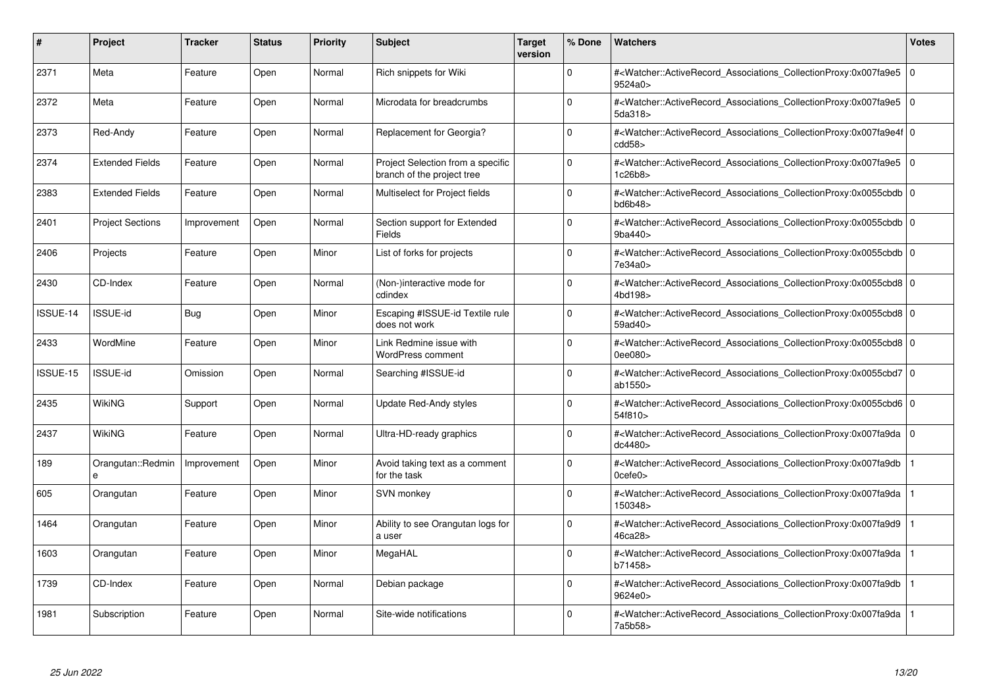| #        | Project                 | <b>Tracker</b> | <b>Status</b> | <b>Priority</b> | <b>Subject</b>                                                  | <b>Target</b><br>version | % Done   | <b>Watchers</b>                                                                                                                                                         | <b>Votes</b> |
|----------|-------------------------|----------------|---------------|-----------------|-----------------------------------------------------------------|--------------------------|----------|-------------------------------------------------------------------------------------------------------------------------------------------------------------------------|--------------|
| 2371     | Meta                    | Feature        | Open          | Normal          | Rich snippets for Wiki                                          |                          | $\Omega$ | # <watcher::activerecord_associations_collectionproxy:0x007fa9e5  <br="">9524a0&gt;</watcher::activerecord_associations_collectionproxy:0x007fa9e5>                     | $\mathbf 0$  |
| 2372     | Meta                    | Feature        | Open          | Normal          | Microdata for breadcrumbs                                       |                          | $\Omega$ | # <watcher::activerecord 0<br="" associations="" collectionproxy:0x007fa9e5=""  ="">5da318&gt;</watcher::activerecord>                                                  |              |
| 2373     | Red-Andy                | Feature        | Open          | Normal          | Replacement for Georgia?                                        |                          | $\Omega$ | # <watcher::activerecord_associations_collectionproxy:0x007fa9e4f 0<br=""  ="">cdd58</watcher::activerecord_associations_collectionproxy:0x007fa9e4f>                   |              |
| 2374     | <b>Extended Fields</b>  | Feature        | Open          | Normal          | Project Selection from a specific<br>branch of the project tree |                          | $\Omega$ | # <watcher::activerecord_associations_collectionproxy:0x007fa9e5 0<br=""  ="">1c26b8&gt;</watcher::activerecord_associations_collectionproxy:0x007fa9e5>                |              |
| 2383     | <b>Extended Fields</b>  | Feature        | Open          | Normal          | Multiselect for Project fields                                  |                          | $\Omega$ | # <watcher::activerecord 0<br="" associations="" collectionproxy:0x0055cbdb=""  ="">bd6b48</watcher::activerecord>                                                      |              |
| 2401     | <b>Project Sections</b> | Improvement    | Open          | Normal          | Section support for Extended<br><b>Fields</b>                   |                          | $\Omega$ | # <watcher::activerecord 0<br="" associations="" collectionproxy:0x0055cbdb=""  ="">9ba440&gt;</watcher::activerecord>                                                  |              |
| 2406     | Projects                | Feature        | Open          | Minor           | List of forks for projects                                      |                          | $\Omega$ | # <watcher::activerecord_associations_collectionproxy:0x0055cbdb 0<br=""  ="">7e34a0&gt;</watcher::activerecord_associations_collectionproxy:0x0055cbdb>                |              |
| 2430     | CD-Index                | Feature        | Open          | Normal          | (Non-)interactive mode for<br>cdindex                           |                          | $\Omega$ | # <watcher::activerecord 0<br="" associations="" collectionproxy:0x0055cbd8=""  ="">4bd198&gt;</watcher::activerecord>                                                  |              |
| ISSUE-14 | <b>ISSUE-id</b>         | Bug            | Open          | Minor           | Escaping #ISSUE-id Textile rule<br>does not work                |                          | $\Omega$ | # <watcher::activerecord 0<br="" associations="" collectionproxy:0x0055cbd8=""  ="">59ad40&gt;</watcher::activerecord>                                                  |              |
| 2433     | WordMine                | Feature        | Open          | Minor           | Link Redmine issue with<br><b>WordPress comment</b>             |                          | $\Omega$ | # <watcher::activerecord 0<br="" associations="" collectionproxy:0x0055cbd8=""  ="">0ee080&gt;</watcher::activerecord>                                                  |              |
| ISSUE-15 | <b>ISSUE-id</b>         | Omission       | Open          | Normal          | Searching #ISSUE-id                                             |                          | $\Omega$ | # <watcher::activerecord_associations_collectionproxy:0x0055cbd7 0<br=""  ="">ab1550&gt;</watcher::activerecord_associations_collectionproxy:0x0055cbd7>                |              |
| 2435     | WikiNG                  | Support        | Open          | Normal          | Update Red-Andy styles                                          |                          | $\Omega$ | # <watcher::activerecord_associations_collectionproxy:0x0055cbd6 0<br=""  ="">54f810&gt;</watcher::activerecord_associations_collectionproxy:0x0055cbd6>                |              |
| 2437     | WikiNG                  | Feature        | Open          | Normal          | Ultra-HD-ready graphics                                         |                          | $\Omega$ | # <watcher::activerecord 0<br="" associations="" collectionproxy:0x007fa9da=""  ="">dc4480&gt;</watcher::activerecord>                                                  |              |
| 189      | Orangutan::Redmin<br>e  | Improvement    | Open          | Minor           | Avoid taking text as a comment<br>for the task                  |                          | $\Omega$ | # <watcher::activerecord_associations_collectionproxy:0x007fa9db<br><math>0</math>cefe<math>0</math></watcher::activerecord_associations_collectionproxy:0x007fa9db<br> |              |
| 605      | Orangutan               | Feature        | Open          | Minor           | SVN monkey                                                      |                          | $\Omega$ | # <watcher::activerecord_associations_collectionproxy:0x007fa9da<br>150348&gt;</watcher::activerecord_associations_collectionproxy:0x007fa9da<br>                       |              |
| 1464     | Orangutan               | Feature        | Open          | Minor           | Ability to see Orangutan logs for<br>a user                     |                          | $\Omega$ | # <watcher::activerecord associations="" collectionproxy:0x007fa9d9<br="">46ca28&gt;</watcher::activerecord>                                                            |              |
| 1603     | Orangutan               | Feature        | Open          | Minor           | MegaHAL                                                         |                          | $\Omega$ | # <watcher::activerecord associations="" collectionproxy:0x007fa9da<br="">b71458&gt;</watcher::activerecord>                                                            |              |
| 1739     | CD-Index                | Feature        | Open          | Normal          | Debian package                                                  |                          | $\Omega$ | # <watcher::activerecord associations="" collectionproxy:0x007fa9db<br="">9624e0&gt;</watcher::activerecord>                                                            |              |
| 1981     | Subscription            | Feature        | Open          | Normal          | Site-wide notifications                                         |                          | $\Omega$ | # <watcher::activerecord_associations_collectionproxy:0x007fa9da<br>7a5b58&gt;</watcher::activerecord_associations_collectionproxy:0x007fa9da<br>                       |              |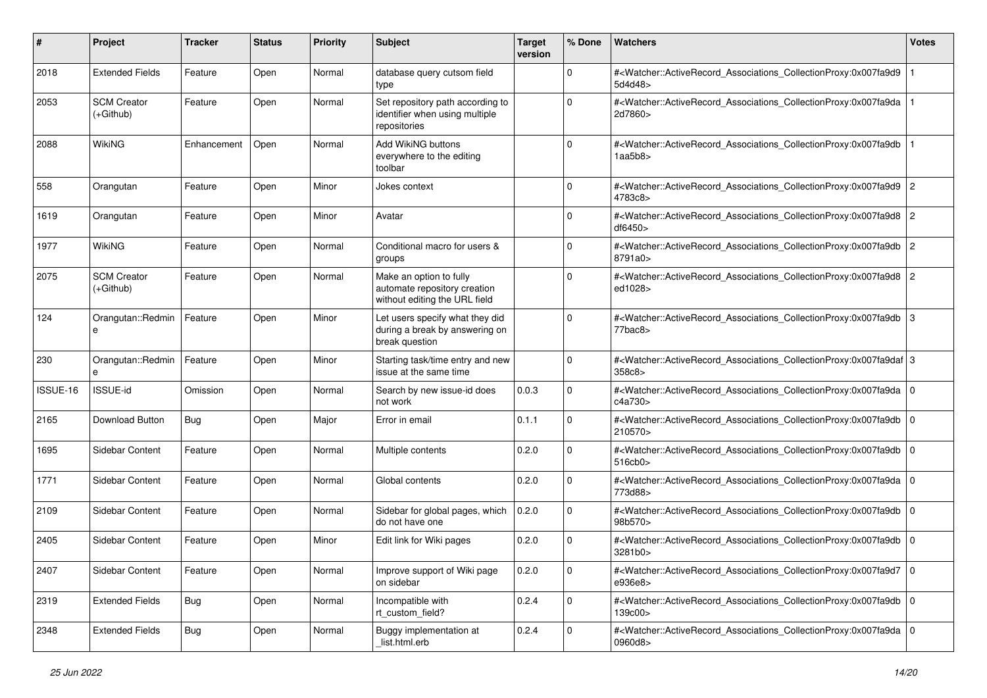| #        | Project                           | <b>Tracker</b> | <b>Status</b> | <b>Priority</b> | <b>Subject</b>                                                                           | <b>Target</b><br>version | % Done      | Watchers                                                                                                                                                 | <b>Votes</b>   |
|----------|-----------------------------------|----------------|---------------|-----------------|------------------------------------------------------------------------------------------|--------------------------|-------------|----------------------------------------------------------------------------------------------------------------------------------------------------------|----------------|
| 2018     | <b>Extended Fields</b>            | Feature        | Open          | Normal          | database query cutsom field<br>type                                                      |                          | $\Omega$    | # <watcher::activerecord_associations_collectionproxy:0x007fa9d9<br>5d4d48&gt;</watcher::activerecord_associations_collectionproxy:0x007fa9d9<br>        |                |
| 2053     | <b>SCM Creator</b><br>$(+Github)$ | Feature        | Open          | Normal          | Set repository path according to<br>identifier when using multiple<br>repositories       |                          | $\Omega$    | # <watcher::activerecord_associations_collectionproxy:0x007fa9da<br>2d7860&gt;</watcher::activerecord_associations_collectionproxy:0x007fa9da<br>        |                |
| 2088     | <b>WikiNG</b>                     | Enhancement    | Open          | Normal          | <b>Add WikiNG buttons</b><br>everywhere to the editing<br>toolbar                        |                          | $\Omega$    | # <watcher::activerecord_associations_collectionproxy:0x007fa9db<br>1aa5b8&gt;</watcher::activerecord_associations_collectionproxy:0x007fa9db<br>        |                |
| 558      | Orangutan                         | Feature        | Open          | Minor           | Jokes context                                                                            |                          | $\Omega$    | # <watcher::activerecord_associations_collectionproxy:0x007fa9d9 2<br="">4783c8&gt;</watcher::activerecord_associations_collectionproxy:0x007fa9d9>      |                |
| 1619     | Orangutan                         | Feature        | Open          | Minor           | Avatar                                                                                   |                          | $\Omega$    | # <watcher::activerecord_associations_collectionproxy:0x007fa9d8<br>df6450&gt;</watcher::activerecord_associations_collectionproxy:0x007fa9d8<br>        | 2              |
| 1977     | WikiNG                            | Feature        | Open          | Normal          | Conditional macro for users &<br>groups                                                  |                          | $\Omega$    | # <watcher::activerecord_associations_collectionproxy:0x007fa9db<br>8791a0&gt;</watcher::activerecord_associations_collectionproxy:0x007fa9db<br>        | $\overline{2}$ |
| 2075     | <b>SCM Creator</b><br>$(+Github)$ | Feature        | Open          | Normal          | Make an option to fully<br>automate repository creation<br>without editing the URL field |                          | $\Omega$    | # <watcher::activerecord_associations_collectionproxy:0x007fa9d8<br>ed1028&gt;</watcher::activerecord_associations_collectionproxy:0x007fa9d8<br>        | 2              |
| 124      | Orangutan::Redmin<br>e            | Feature        | Open          | Minor           | Let users specify what they did<br>during a break by answering on<br>break question      |                          | $\Omega$    | # <watcher::activerecord_associations_collectionproxy:0x007fa9db<br>77bac8&gt;</watcher::activerecord_associations_collectionproxy:0x007fa9db<br>        | 3              |
| 230      | Orangutan::Redmin<br>e            | Feature        | Open          | Minor           | Starting task/time entry and new<br>issue at the same time                               |                          | $\mathbf 0$ | # <watcher::activerecord_associations_collectionproxy:0x007fa9daf 3<br="">358c8&gt;</watcher::activerecord_associations_collectionproxy:0x007fa9daf>     |                |
| ISSUE-16 | ISSUE-id                          | Omission       | Open          | Normal          | Search by new issue-id does<br>not work                                                  | 0.0.3                    | $\Omega$    | # <watcher::activerecord_associations_collectionproxy:0x007fa9da 0<br=""  ="">c4a730&gt;</watcher::activerecord_associations_collectionproxy:0x007fa9da> |                |
| 2165     | Download Button                   | <b>Bug</b>     | Open          | Major           | Error in email                                                                           | 0.1.1                    | $\Omega$    | # <watcher::activerecord_associations_collectionproxy:0x007fa9db<br>210570&gt;</watcher::activerecord_associations_collectionproxy:0x007fa9db<br>        | l 0            |
| 1695     | Sidebar Content                   | Feature        | Open          | Normal          | Multiple contents                                                                        | 0.2.0                    | $\mathbf 0$ | # <watcher::activerecord_associations_collectionproxy:0x007fa9db<br>516cb0&gt;</watcher::activerecord_associations_collectionproxy:0x007fa9db<br>        | l o            |
| 1771     | Sidebar Content                   | Feature        | Open          | Normal          | Global contents                                                                          | 0.2.0                    | $\mathbf 0$ | # <watcher::activerecord_associations_collectionproxy:0x007fa9da 0<br=""  ="">773d88&gt;</watcher::activerecord_associations_collectionproxy:0x007fa9da> |                |
| 2109     | Sidebar Content                   | Feature        | Open          | Normal          | Sidebar for global pages, which<br>do not have one                                       | 0.2.0                    | $\mathbf 0$ | # <watcher::activerecord_associations_collectionproxy:0x007fa9db<br>98b570&gt;</watcher::activerecord_associations_collectionproxy:0x007fa9db<br>        | l O            |
| 2405     | Sidebar Content                   | Feature        | Open          | Minor           | Edit link for Wiki pages                                                                 | 0.2.0                    | $\Omega$    | # <watcher::activerecord 0<br="" associations="" collectionproxy:0x007fa9db="">3281b0&gt;</watcher::activerecord>                                        |                |
| 2407     | Sidebar Content                   | Feature        | Open          | Normal          | Improve support of Wiki page<br>on sidebar                                               | 0.2.0                    | 0           | # <watcher::activerecord_associations_collectionproxy:0x007fa9d7 0<br="">e936e8&gt;</watcher::activerecord_associations_collectionproxy:0x007fa9d7>      |                |
| 2319     | <b>Extended Fields</b>            | Bug            | Open          | Normal          | Incompatible with<br>rt_custom_field?                                                    | 0.2.4                    | $\mathbf 0$ | # <watcher::activerecord 0<br="" associations="" collectionproxy:0x007fa9db="">139c00&gt;</watcher::activerecord>                                        |                |
| 2348     | <b>Extended Fields</b>            | <b>Bug</b>     | Open          | Normal          | Buggy implementation at<br>list.html.erb                                                 | 0.2.4                    | $\mathbf 0$ | # <watcher::activerecord_associations_collectionproxy:0x007fa9da 0<br="">0960d8&gt;</watcher::activerecord_associations_collectionproxy:0x007fa9da>      |                |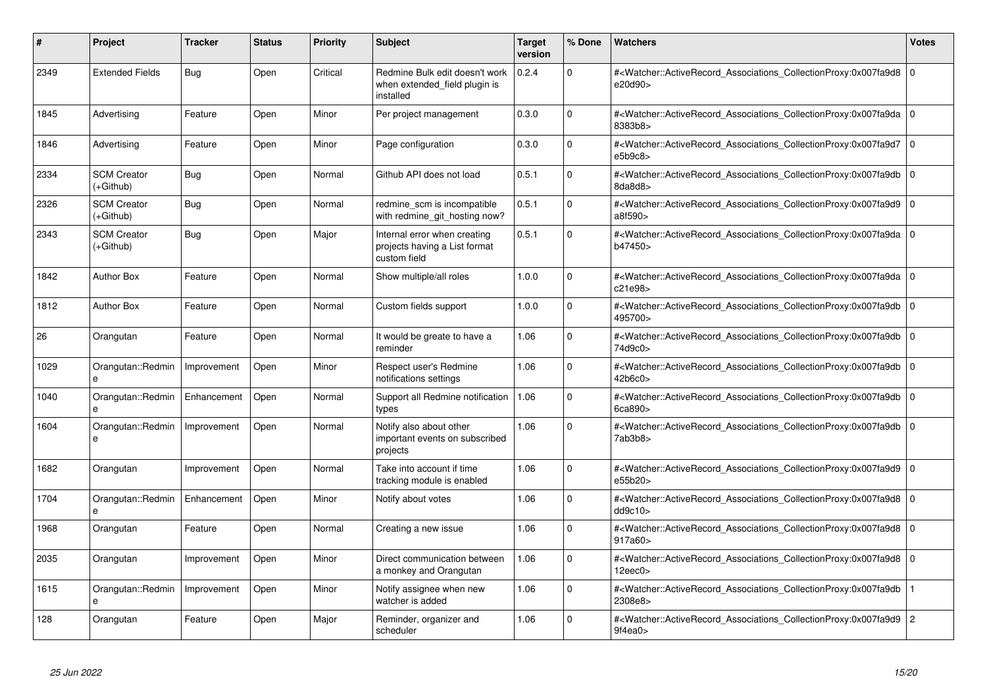| #    | <b>Project</b>                  | <b>Tracker</b> | <b>Status</b> | <b>Priority</b> | <b>Subject</b>                                                                | <b>Target</b><br>version | % Done         | <b>Watchers</b>                                                                                                                                                | <b>Votes</b> |
|------|---------------------------------|----------------|---------------|-----------------|-------------------------------------------------------------------------------|--------------------------|----------------|----------------------------------------------------------------------------------------------------------------------------------------------------------------|--------------|
| 2349 | <b>Extended Fields</b>          | Bug            | Open          | Critical        | Redmine Bulk edit doesn't work<br>when extended field plugin is<br>installed  | 0.2.4                    | $\Omega$       | # <watcher::activerecord 0<br="" associations="" collectionproxy:0x007fa9d8=""  ="">e20d90&gt;</watcher::activerecord>                                         |              |
| 1845 | Advertising                     | Feature        | Open          | Minor           | Per project management                                                        | 0.3.0                    | 0              | # <watcher::activerecord 0<br="" associations="" collectionproxy:0x007fa9da=""  ="">8383b8&gt;</watcher::activerecord>                                         |              |
| 1846 | Advertising                     | Feature        | Open          | Minor           | Page configuration                                                            | 0.3.0                    | $\mathbf 0$    | # <watcher::activerecord associations="" collectionproxy:0x007fa9d7<br="">e5b9c8</watcher::activerecord>                                                       | l O          |
| 2334 | <b>SCM Creator</b><br>(+Github) | Bug            | Open          | Normal          | Github API does not load                                                      | 0.5.1                    | $\Omega$       | # <watcher::activerecord_associations_collectionproxy:0x007fa9db 0<br=""  ="">8da8d8&gt;</watcher::activerecord_associations_collectionproxy:0x007fa9db>       |              |
| 2326 | <b>SCM Creator</b><br>(+Github) | <b>Bug</b>     | Open          | Normal          | redmine scm is incompatible<br>with redmine git hosting now?                  | 0.5.1                    | $\Omega$       | # <watcher::activerecord_associations_collectionproxy:0x007fa9d9 0<br=""  ="">a8f590&gt;</watcher::activerecord_associations_collectionproxy:0x007fa9d9>       |              |
| 2343 | <b>SCM Creator</b><br>(+Github) | <b>Bug</b>     | Open          | Major           | Internal error when creating<br>projects having a List format<br>custom field | 0.5.1                    | $\Omega$       | # <watcher::activerecord_associations_collectionproxy:0x007fa9da 0<br=""  ="">b47450&gt;</watcher::activerecord_associations_collectionproxy:0x007fa9da>       |              |
| 1842 | <b>Author Box</b>               | Feature        | Open          | Normal          | Show multiple/all roles                                                       | 1.0.0                    | 0              | # <watcher::activerecord_associations_collectionproxy:0x007fa9da 0<br=""  ="">c21e98&gt;</watcher::activerecord_associations_collectionproxy:0x007fa9da>       |              |
| 1812 | <b>Author Box</b>               | Feature        | Open          | Normal          | Custom fields support                                                         | 1.0.0                    | $\Omega$       | # <watcher::activerecord_associations_collectionproxy:0x007fa9db 0<br=""  ="">495700&gt;</watcher::activerecord_associations_collectionproxy:0x007fa9db>       |              |
| 26   | Orangutan                       | Feature        | Open          | Normal          | It would be greate to have a<br>reminder                                      | 1.06                     | $\overline{0}$ | # <watcher::activerecord_associations_collectionproxy:0x007fa9db 0<br=""  ="">74d9c0&gt;</watcher::activerecord_associations_collectionproxy:0x007fa9db>       |              |
| 1029 | Orangutan::Redmin<br>$\theta$   | Improvement    | Open          | Minor           | Respect user's Redmine<br>notifications settings                              | 1.06                     | $\Omega$       | # <watcher::activerecord 0<br="" associations="" collectionproxy:0x007fa9db=""  ="">42b6c0</watcher::activerecord>                                             |              |
| 1040 | Orangutan::Redmin<br>$\theta$   | Enhancement    | Open          | Normal          | Support all Redmine notification<br>types                                     | 1.06                     | $\Omega$       | # <watcher::activerecord 0<br="" associations="" collectionproxy:0x007fa9db=""  ="">6ca890&gt;</watcher::activerecord>                                         |              |
| 1604 | Orangutan::Redmin<br>e          | Improvement    | Open          | Normal          | Notify also about other<br>important events on subscribed<br>projects         | 1.06                     | 0              | # <watcher::activerecord_associations_collectionproxy:0x007fa9db 0<br=""  ="">7ab3b8&gt;</watcher::activerecord_associations_collectionproxy:0x007fa9db>       |              |
| 1682 | Orangutan                       | Improvement    | Open          | Normal          | Take into account if time<br>tracking module is enabled                       | 1.06                     | $\mathbf 0$    | # <watcher::activerecord 0<br="" associations="" collectionproxy:0x007fa9d9=""  ="">e55b20&gt;</watcher::activerecord>                                         |              |
| 1704 | Orangutan::Redmin<br>e          | Enhancement    | Open          | Minor           | Notify about votes                                                            | 1.06                     | $\Omega$       | # <watcher::activerecord_associations_collectionproxy:0x007fa9d8 0<br="">dd9c10<sub>&gt;</sub></watcher::activerecord_associations_collectionproxy:0x007fa9d8> |              |
| 1968 | Orangutan                       | Feature        | Open          | Normal          | Creating a new issue                                                          | 1.06                     | 0              | # <watcher::activerecord 0<br="" associations="" collectionproxy:0x007fa9d8=""  ="">917a60&gt;</watcher::activerecord>                                         |              |
| 2035 | Orangutan                       | Improvement    | Open          | Minor           | Direct communication between<br>a monkey and Orangutan                        | 1.06                     | $\Omega$       | # <watcher::activerecord_associations_collectionproxy:0x007fa9d8 0<br=""  ="">12eec0</watcher::activerecord_associations_collectionproxy:0x007fa9d8>           |              |
| 1615 | Orangutan::Redmin<br>e          | Improvement    | Open          | Minor           | Notify assignee when new<br>watcher is added                                  | 1.06                     | $\mathbf 0$    | # <watcher::activerecord_associations_collectionproxy:0x007fa9db<br>2308e8&gt;</watcher::activerecord_associations_collectionproxy:0x007fa9db<br>              |              |
| 128  | Orangutan                       | Feature        | Open          | Major           | Reminder, organizer and<br>scheduler                                          | 1.06                     | 0              | # <watcher::activerecord_associations_collectionproxy:0x007fa9d9 2<br="">9f4ea0&gt;</watcher::activerecord_associations_collectionproxy:0x007fa9d9>            |              |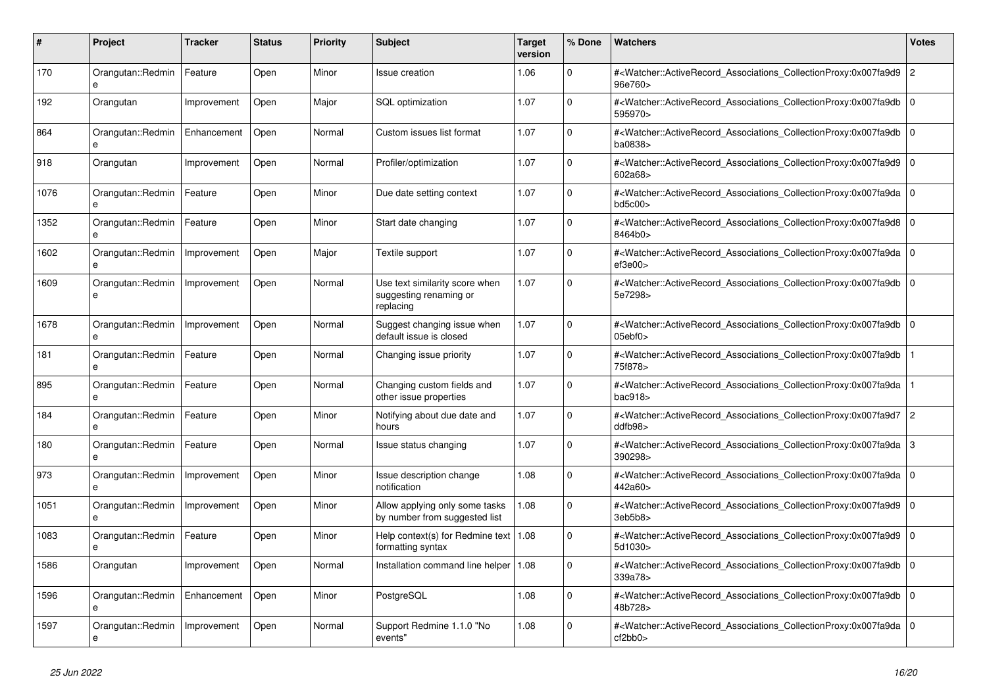| #    | <b>Project</b>         | <b>Tracker</b> | <b>Status</b> | <b>Priority</b> | <b>Subject</b>                                                        | <b>Target</b><br>version | % Done      | <b>Watchers</b>                                                                                                                                   | Votes          |
|------|------------------------|----------------|---------------|-----------------|-----------------------------------------------------------------------|--------------------------|-------------|---------------------------------------------------------------------------------------------------------------------------------------------------|----------------|
| 170  | Orangutan::Redmin<br>e | Feature        | Open          | Minor           | Issue creation                                                        | 1.06                     | $\Omega$    | # <watcher::activerecord_associations_collectionproxy:0x007fa9d9<br>96e760&gt;</watcher::activerecord_associations_collectionproxy:0x007fa9d9<br> | $\overline{c}$ |
| 192  | Orangutan              | Improvement    | Open          | Major           | <b>SQL</b> optimization                                               | 1.07                     | $\Omega$    | # <watcher::activerecord associations="" collectionproxy:0x007fa9db<br="">595970&gt;</watcher::activerecord>                                      | $\Omega$       |
| 864  | Orangutan::Redmin<br>e | Enhancement    | Open          | Normal          | Custom issues list format                                             | 1.07                     | $\Omega$    | # <watcher::activerecord associations="" collectionproxy:0x007fa9db<br="">ba0838&gt;</watcher::activerecord>                                      | l o            |
| 918  | Orangutan              | Improvement    | Open          | Normal          | Profiler/optimization                                                 | 1.07                     | $\Omega$    | # <watcher::activerecord_associations_collectionproxy:0x007fa9d9<br>602a68&gt;</watcher::activerecord_associations_collectionproxy:0x007fa9d9<br> | $\mathbf 0$    |
| 1076 | Orangutan::Redmin<br>e | Feature        | Open          | Minor           | Due date setting context                                              | 1.07                     | $\Omega$    | # <watcher::activerecord associations="" collectionproxy:0x007fa9da<br="">bd5c00&gt;</watcher::activerecord>                                      | $\Omega$       |
| 1352 | Orangutan::Redmin<br>e | Feature        | Open          | Minor           | Start date changing                                                   | 1.07                     | $\Omega$    | # <watcher::activerecord_associations_collectionproxy:0x007fa9d8<br>8464b0&gt;</watcher::activerecord_associations_collectionproxy:0x007fa9d8<br> | $\mathbf 0$    |
| 1602 | Orangutan::Redmin      | Improvement    | Open          | Major           | Textile support                                                       | 1.07                     | $\Omega$    | # <watcher::activerecord_associations_collectionproxy:0x007fa9da<br>ef3e00&gt;</watcher::activerecord_associations_collectionproxy:0x007fa9da<br> | $\mathbf 0$    |
| 1609 | Orangutan::Redmin<br>e | Improvement    | Open          | Normal          | Use text similarity score when<br>suggesting renaming or<br>replacing | 1.07                     | $\mathbf 0$ | # <watcher::activerecord_associations_collectionproxy:0x007fa9db<br>5e7298&gt;</watcher::activerecord_associations_collectionproxy:0x007fa9db<br> | $\mathbf 0$    |
| 1678 | Orangutan::Redmin<br>e | Improvement    | Open          | Normal          | Suggest changing issue when<br>default issue is closed                | 1.07                     | $\Omega$    | # <watcher::activerecord_associations_collectionproxy:0x007fa9db<br>05ebf0&gt;</watcher::activerecord_associations_collectionproxy:0x007fa9db<br> | $\Omega$       |
| 181  | Orangutan::Redmin      | Feature        | Open          | Normal          | Changing issue priority                                               | 1.07                     | $\mathbf 0$ | # <watcher::activerecord_associations_collectionproxy:0x007fa9db<br>75f878&gt;</watcher::activerecord_associations_collectionproxy:0x007fa9db<br> |                |
| 895  | Orangutan::Redmin<br>e | Feature        | Open          | Normal          | Changing custom fields and<br>other issue properties                  | 1.07                     | 0           | # <watcher::activerecord associations="" collectionproxy:0x007fa9da<br="">bac918</watcher::activerecord>                                          |                |
| 184  | Orangutan::Redmin<br>e | Feature        | Open          | Minor           | Notifying about due date and<br>hours                                 | 1.07                     | $\Omega$    | # <watcher::activerecord_associations_collectionproxy:0x007fa9d7<br>ddfb98</watcher::activerecord_associations_collectionproxy:0x007fa9d7<br>     | $\overline{2}$ |
| 180  | Orangutan::Redmin<br>e | Feature        | Open          | Normal          | Issue status changing                                                 | 1.07                     | $\Omega$    | # <watcher::activerecord associations="" collectionproxy:0x007fa9da<br="">390298&gt;</watcher::activerecord>                                      | 3              |
| 973  | Orangutan::Redmin<br>e | Improvement    | Open          | Minor           | Issue description change<br>notification                              | 1.08                     | $\mathbf 0$ | # <watcher::activerecord associations="" collectionproxy:0x007fa9da<br="">442a60&gt;</watcher::activerecord>                                      | $\mathbf 0$    |
| 1051 | Orangutan::Redmin<br>e | Improvement    | Open          | Minor           | Allow applying only some tasks<br>by number from suggested list       | 1.08                     | $\Omega$    | # <watcher::activerecord associations="" collectionproxy:0x007fa9d9<br="">3eb5b8&gt;</watcher::activerecord>                                      | $\Omega$       |
| 1083 | Orangutan::Redmin      | Feature        | Open          | Minor           | Help context(s) for Redmine text<br>formatting syntax                 | 1.08                     | $\Omega$    | # <watcher::activerecord associations="" collectionproxy:0x007fa9d9<br="">5d1030&gt;</watcher::activerecord>                                      | $\Omega$       |
| 1586 | Orangutan              | Improvement    | Open          | Normal          | Installation command line helper                                      | 1.08                     | $\Omega$    | # <watcher::activerecord_associations_collectionproxy:0x007fa9db<br>339a78&gt;</watcher::activerecord_associations_collectionproxy:0x007fa9db<br> | $\Omega$       |
| 1596 | Orangutan::Redmin<br>e | Enhancement    | Open          | Minor           | PostgreSQL                                                            | 1.08                     | $\Omega$    | # <watcher::activerecord associations="" collectionproxy:0x007fa9db<br="">48b728&gt;</watcher::activerecord>                                      | $\Omega$       |
| 1597 | Orangutan::Redmin<br>e | Improvement    | Open          | Normal          | Support Redmine 1.1.0 "No<br>events"                                  | 1.08                     | $\Omega$    | # <watcher::activerecord_associations_collectionproxy:0x007fa9da<br>cf2bb0&gt;</watcher::activerecord_associations_collectionproxy:0x007fa9da<br> | $\Omega$       |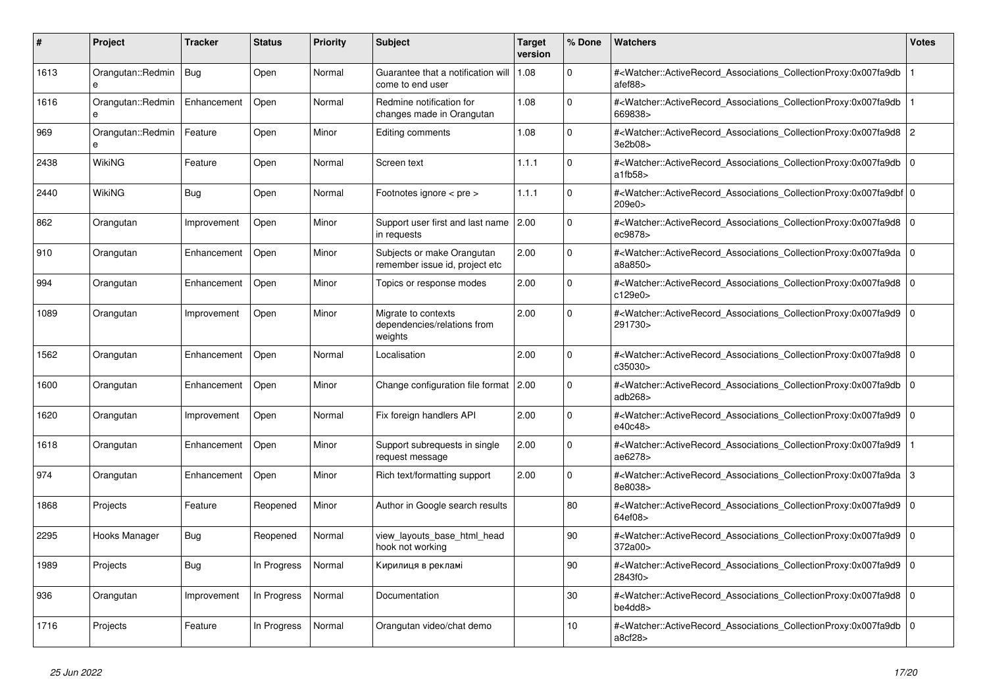| #    | <b>Project</b>                    | <b>Tracker</b> | <b>Status</b> | <b>Priority</b> | <b>Subject</b>                                                | <b>Target</b><br>version | % Done   | <b>Watchers</b>                                                                                                                                           | <b>Votes</b> |
|------|-----------------------------------|----------------|---------------|-----------------|---------------------------------------------------------------|--------------------------|----------|-----------------------------------------------------------------------------------------------------------------------------------------------------------|--------------|
| 1613 | Orangutan::Redmin<br>e            | Bug            | Open          | Normal          | Guarantee that a notification will<br>come to end user        | 1.08                     | $\Omega$ | # <watcher::activerecord associations="" collectionproxy:0x007fa9db<br="">afef88&gt;</watcher::activerecord>                                              |              |
| 1616 | Orangutan::Redmin<br>e            | Enhancement    | Open          | Normal          | Redmine notification for<br>changes made in Orangutan         | 1.08                     | $\Omega$ | # <watcher::activerecord associations="" collectionproxy:0x007fa9db<br="">669838&gt;</watcher::activerecord>                                              |              |
| 969  | Orangutan::Redmin<br>$\mathbf{a}$ | Feature        | Open          | Minor           | Editing comments                                              | 1.08                     | $\Omega$ | # <watcher::activerecord_associations_collectionproxy:0x007fa9d8 2<br="">3e2b08&gt;</watcher::activerecord_associations_collectionproxy:0x007fa9d8>       |              |
| 2438 | <b>WikiNG</b>                     | Feature        | Open          | Normal          | Screen text                                                   | 1.1.1                    | $\Omega$ | # <watcher::activerecord_associations_collectionproxy:0x007fa9db<br>atfb58</watcher::activerecord_associations_collectionproxy:0x007fa9db<br>             | $\Omega$     |
| 2440 | WikiNG                            | <b>Bug</b>     | Open          | Normal          | Footnotes ignore < pre >                                      | 1.1.1                    | $\Omega$ | # <watcher::activerecord_associations_collectionproxy:0x007fa9dbf 0<br=""  ="">209e0&gt;</watcher::activerecord_associations_collectionproxy:0x007fa9dbf> |              |
| 862  | Orangutan                         | Improvement    | Open          | Minor           | Support user first and last name 2.00<br>in requests          |                          | $\Omega$ | # <watcher::activerecord_associations_collectionproxy:0x007fa9d8 0<br=""  ="">ec9878&gt;</watcher::activerecord_associations_collectionproxy:0x007fa9d8>  |              |
| 910  | Orangutan                         | Enhancement    | Open          | Minor           | Subjects or make Orangutan<br>remember issue id, project etc  | 2.00                     | $\Omega$ | # <watcher::activerecord associations="" collectionproxy:0x007fa9da<br="">a8a850&gt;</watcher::activerecord>                                              | $\mathbf 0$  |
| 994  | Orangutan                         | Enhancement    | Open          | Minor           | Topics or response modes                                      | 2.00                     | $\Omega$ | # <watcher::activerecord_associations_collectionproxy:0x007fa9d8  <br="">c129e0&gt;</watcher::activerecord_associations_collectionproxy:0x007fa9d8>       | $\mathbf 0$  |
| 1089 | Orangutan                         | Improvement    | Open          | Minor           | Migrate to contexts<br>dependencies/relations from<br>weights | 2.00                     | $\Omega$ | # <watcher::activerecord_associations_collectionproxy:0x007fa9d9 0<br=""  ="">291730&gt;</watcher::activerecord_associations_collectionproxy:0x007fa9d9>  |              |
| 1562 | Orangutan                         | Enhancement    | Open          | Normal          | Localisation                                                  | 2.00                     | $\Omega$ | # <watcher::activerecord_associations_collectionproxy:0x007fa9d8<br>c35030 &gt;</watcher::activerecord_associations_collectionproxy:0x007fa9d8<br>        | $\Omega$     |
| 1600 | Orangutan                         | Enhancement    | Open          | Minor           | Change configuration file format 2.00                         |                          | $\Omega$ | # <watcher::activerecord associations="" collectionproxy:0x007fa9db=""  <br="">adb268&gt;</watcher::activerecord>                                         | $\mathbf 0$  |
| 1620 | Orangutan                         | Improvement    | Open          | Normal          | Fix foreign handlers API                                      | 2.00                     | $\Omega$ | # <watcher::activerecord associations="" collectionproxy:0x007fa9d9<br="">e40c48&gt;</watcher::activerecord>                                              | $\mathbf 0$  |
| 1618 | Orangutan                         | Enhancement    | Open          | Minor           | Support subrequests in single<br>request message              | 2.00                     | $\Omega$ | # <watcher::activerecord_associations_collectionproxy:0x007fa9d9<br>ae6278&gt;</watcher::activerecord_associations_collectionproxy:0x007fa9d9<br>         |              |
| 974  | Orangutan                         | Enhancement    | Open          | Minor           | Rich text/formatting support                                  | 2.00                     | $\Omega$ | # <watcher::activerecord associations="" collectionproxy:0x007fa9da=""  <br="">8e8038&gt;</watcher::activerecord>                                         | 3            |
| 1868 | Projects                          | Feature        | Reopened      | Minor           | Author in Google search results                               |                          | 80       | # <watcher::activerecord associations="" collectionproxy:0x007fa9d9<br="">64ef08&gt;</watcher::activerecord>                                              | $\mathbf 0$  |
| 2295 | Hooks Manager                     | Bug            | Reopened      | Normal          | view layouts base html head<br>hook not working               |                          | 90       | # <watcher::activerecord_associations_collectionproxy:0x007fa9d9<br>372a00&gt;</watcher::activerecord_associations_collectionproxy:0x007fa9d9<br>         | $\mathbf 0$  |
| 1989 | Projects                          | <b>Bug</b>     | In Progress   | Normal          | Кирилиця в рекламі                                            |                          | 90       | # <watcher::activerecord_associations_collectionproxy:0x007fa9d9 0<br=""  ="">2843f0&gt;</watcher::activerecord_associations_collectionproxy:0x007fa9d9>  |              |
| 936  | Orangutan                         | Improvement    | In Progress   | Normal          | Documentation                                                 |                          | 30       | # <watcher::activerecord associations="" collectionproxy:0x007fa9d8<br="">be4dd8&gt;</watcher::activerecord>                                              | $\mathbf 0$  |
| 1716 | Projects                          | Feature        | In Progress   | Normal          | Orangutan video/chat demo                                     |                          | 10       | # <watcher::activerecord_associations_collectionproxy:0x007fa9db<br>a8cf28&gt;</watcher::activerecord_associations_collectionproxy:0x007fa9db<br>         | $\mathbf 0$  |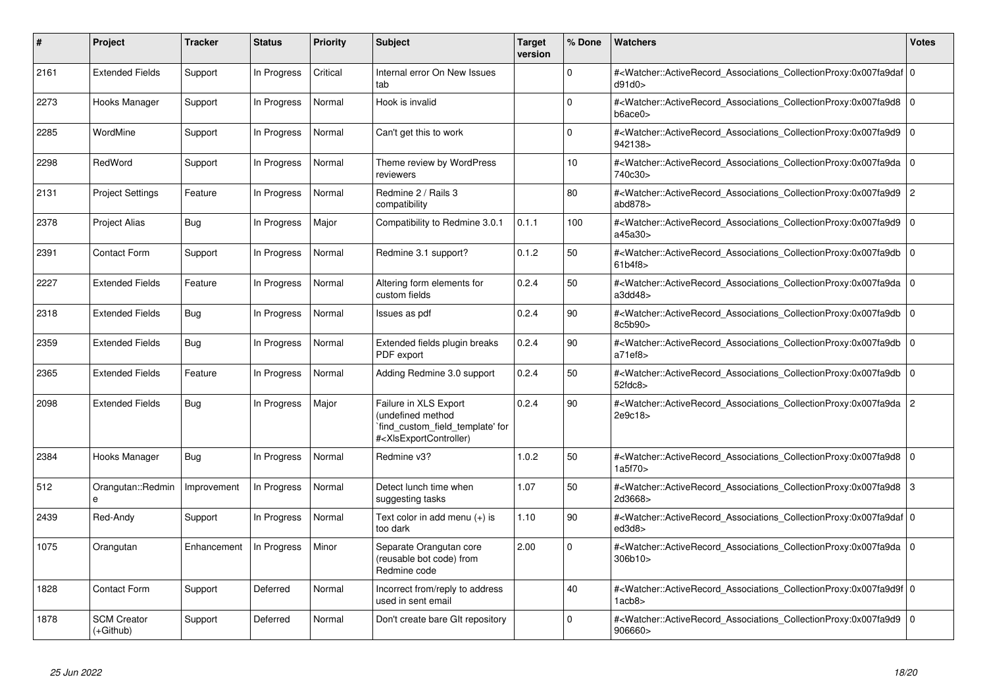| #    | Project                           | <b>Tracker</b> | <b>Status</b> | <b>Priority</b> | <b>Subject</b>                                                                                                                                                                                                                                                                                                                         | <b>Target</b><br>version | % Done   | Watchers                                                                                                                                                  | Votes          |
|------|-----------------------------------|----------------|---------------|-----------------|----------------------------------------------------------------------------------------------------------------------------------------------------------------------------------------------------------------------------------------------------------------------------------------------------------------------------------------|--------------------------|----------|-----------------------------------------------------------------------------------------------------------------------------------------------------------|----------------|
| 2161 | <b>Extended Fields</b>            | Support        | In Progress   | Critical        | Internal error On New Issues<br>tab                                                                                                                                                                                                                                                                                                    |                          | $\Omega$ | # <watcher::activerecord 0<br="" associations="" collectionproxy:0x007fa9daf=""  ="">d91d0</watcher::activerecord>                                        |                |
| 2273 | Hooks Manager                     | Support        | In Progress   | Normal          | Hook is invalid                                                                                                                                                                                                                                                                                                                        |                          | $\Omega$ | # <watcher::activerecord_associations_collectionproxy:0x007fa9d8 0<br="">b6ace0&gt;</watcher::activerecord_associations_collectionproxy:0x007fa9d8>       |                |
| 2285 | WordMine                          | Support        | In Progress   | Normal          | Can't get this to work                                                                                                                                                                                                                                                                                                                 |                          | $\Omega$ | # <watcher::activerecord_associations_collectionproxy:0x007fa9d9<br>942138&gt;</watcher::activerecord_associations_collectionproxy:0x007fa9d9<br>         | $\overline{0}$ |
| 2298 | RedWord                           | Support        | In Progress   | Normal          | Theme review by WordPress<br>reviewers                                                                                                                                                                                                                                                                                                 |                          | 10       | # <watcher::activerecord_associations_collectionproxy:0x007fa9da 0<br="">740c30&gt;</watcher::activerecord_associations_collectionproxy:0x007fa9da>       |                |
| 2131 | <b>Project Settings</b>           | Feature        | In Progress   | Normal          | Redmine 2 / Rails 3<br>compatibility                                                                                                                                                                                                                                                                                                   |                          | 80       | # <watcher::activerecord_associations_collectionproxy:0x007fa9d9 2<br="">abd878&gt;</watcher::activerecord_associations_collectionproxy:0x007fa9d9>       |                |
| 2378 | <b>Project Alias</b>              | Bug            | In Progress   | Major           | Compatibility to Redmine 3.0.1                                                                                                                                                                                                                                                                                                         | 0.1.1                    | 100      | # <watcher::activerecord_associations_collectionproxy:0x007fa9d9 0<br=""  ="">a45a30&gt;</watcher::activerecord_associations_collectionproxy:0x007fa9d9>  |                |
| 2391 | <b>Contact Form</b>               | Support        | In Progress   | Normal          | Redmine 3.1 support?                                                                                                                                                                                                                                                                                                                   | 0.1.2                    | 50       | # <watcher::activerecord_associations_collectionproxy:0x007fa9db 0<br=""  ="">61b4f8</watcher::activerecord_associations_collectionproxy:0x007fa9db>      |                |
| 2227 | <b>Extended Fields</b>            | Feature        | In Progress   | Normal          | Altering form elements for<br>custom fields                                                                                                                                                                                                                                                                                            | 0.2.4                    | 50       | # <watcher::activerecord 0<br="" associations="" collectionproxy:0x007fa9da=""  ="">a3dd48</watcher::activerecord>                                        |                |
| 2318 | <b>Extended Fields</b>            | Bug            | In Progress   | Normal          | Issues as pdf                                                                                                                                                                                                                                                                                                                          | 0.2.4                    | 90       | # <watcher::activerecord_associations_collectionproxy:0x007fa9db 0<br="">8c5b90&gt;</watcher::activerecord_associations_collectionproxy:0x007fa9db>       |                |
| 2359 | <b>Extended Fields</b>            | <b>Bug</b>     | In Progress   | Normal          | Extended fields plugin breaks<br>PDF export                                                                                                                                                                                                                                                                                            | 0.2.4                    | 90       | # <watcher::activerecord_associations_collectionproxy:0x007fa9db<br>a71ef8</watcher::activerecord_associations_collectionproxy:0x007fa9db<br>             | $\overline{0}$ |
| 2365 | <b>Extended Fields</b>            | Feature        | In Progress   | Normal          | Adding Redmine 3.0 support                                                                                                                                                                                                                                                                                                             | 0.2.4                    | 50       | # <watcher::activerecord_associations_collectionproxy:0x007fa9db 0<br=""  ="">52fdc8</watcher::activerecord_associations_collectionproxy:0x007fa9db>      |                |
| 2098 | <b>Extended Fields</b>            | Bug            | In Progress   | Major           | Failure in XLS Export<br>(undefined method<br>`find_custom_field_template' for<br># <xisexportcontroller)< td=""><td>0.2.4</td><td>90</td><td>#<watcher::activerecord_associations_collectionproxy:0x007fa9da 2<br="">2e9c18&gt;</watcher::activerecord_associations_collectionproxy:0x007fa9da></td><td></td></xisexportcontroller)<> | 0.2.4                    | 90       | # <watcher::activerecord_associations_collectionproxy:0x007fa9da 2<br="">2e9c18&gt;</watcher::activerecord_associations_collectionproxy:0x007fa9da>       |                |
| 2384 | Hooks Manager                     | Bug            | In Progress   | Normal          | Redmine v3?                                                                                                                                                                                                                                                                                                                            | 1.0.2                    | 50       | # <watcher::activerecord 0<br="" associations="" collectionproxy:0x007fa9d8=""  ="">1a5f70&gt;</watcher::activerecord>                                    |                |
| 512  | Orangutan::Redmin<br>e            | Improvement    | In Progress   | Normal          | Detect lunch time when<br>suggesting tasks                                                                                                                                                                                                                                                                                             | 1.07                     | 50       | # <watcher::activerecord_associations_collectionproxy:0x007fa9d8 3<br="">2d3668&gt;</watcher::activerecord_associations_collectionproxy:0x007fa9d8>       |                |
| 2439 | Red-Andy                          | Support        | In Progress   | Normal          | Text color in add menu (+) is<br>too dark                                                                                                                                                                                                                                                                                              | 1.10                     | 90       | # <watcher::activerecord_associations_collectionproxy:0x007fa9daf 0<br=""  ="">ed3d8&gt;</watcher::activerecord_associations_collectionproxy:0x007fa9daf> |                |
| 1075 | Orangutan                         | Enhancement    | In Progress   | Minor           | Separate Orangutan core<br>(reusable bot code) from<br>Redmine code                                                                                                                                                                                                                                                                    | 2.00                     | $\Omega$ | # <watcher::activerecord_associations_collectionproxy:0x007fa9da 0<br="">306b10</watcher::activerecord_associations_collectionproxy:0x007fa9da>           |                |
| 1828 | <b>Contact Form</b>               | Support        | Deferred      | Normal          | Incorrect from/reply to address<br>used in sent email                                                                                                                                                                                                                                                                                  |                          | 40       | # <watcher::activerecord 0<br="" associations="" collectionproxy:0x007fa9d9f=""  ="">1acb8</watcher::activerecord>                                        |                |
| 1878 | <b>SCM Creator</b><br>$(+Github)$ | Support        | Deferred      | Normal          | Don't create bare GIt repository                                                                                                                                                                                                                                                                                                       |                          | $\Omega$ | # <watcher::activerecord_associations_collectionproxy:0x007fa9d9<br>906660&gt;</watcher::activerecord_associations_collectionproxy:0x007fa9d9<br>         | $\overline{0}$ |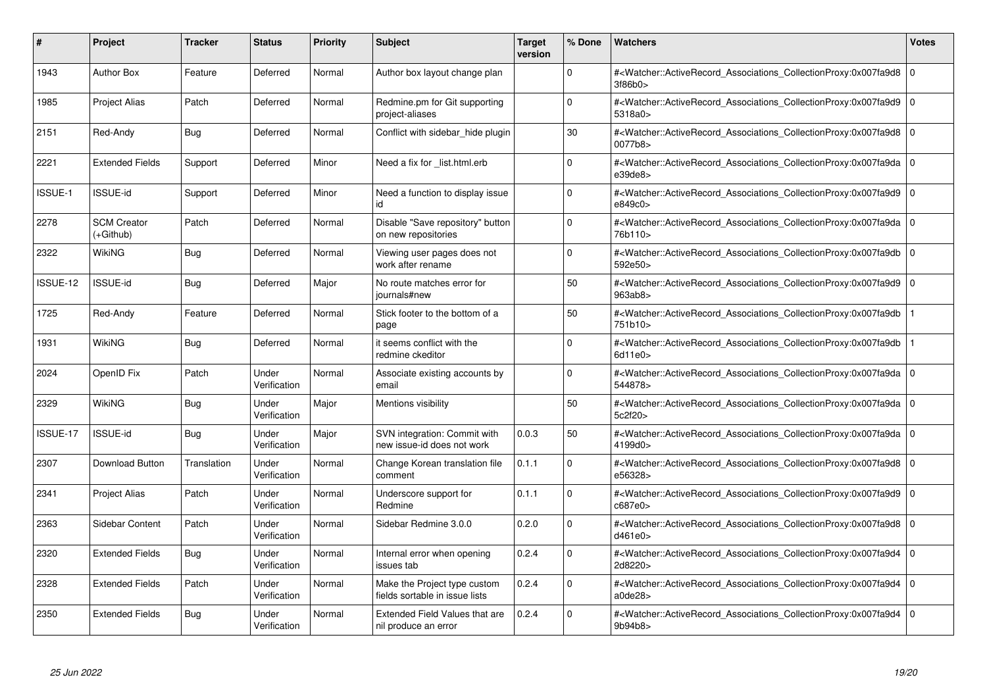| #        | Project                         | <b>Tracker</b> | <b>Status</b>         | <b>Priority</b> | <b>Subject</b>                                                 | <b>Target</b><br>version | % Done      | <b>Watchers</b>                                                                                                                                          | <b>Votes</b> |
|----------|---------------------------------|----------------|-----------------------|-----------------|----------------------------------------------------------------|--------------------------|-------------|----------------------------------------------------------------------------------------------------------------------------------------------------------|--------------|
| 1943     | <b>Author Box</b>               | Feature        | Deferred              | Normal          | Author box layout change plan                                  |                          | $\Omega$    | # <watcher::activerecord associations="" collectionproxy:0x007fa9d8<br="">3f86b0&gt;</watcher::activerecord>                                             | $\Omega$     |
| 1985     | <b>Project Alias</b>            | Patch          | Deferred              | Normal          | Redmine.pm for Git supporting<br>project-aliases               |                          | $\Omega$    | # <watcher::activerecord 0<br="" associations="" collectionproxy:0x007fa9d9=""  ="">5318a0&gt;</watcher::activerecord>                                   |              |
| 2151     | Red-Andy                        | Bug            | Deferred              | Normal          | Conflict with sidebar_hide plugin                              |                          | 30          | # <watcher::activerecord_associations_collectionproxy:0x007fa9d8<br>0077b8&gt;</watcher::activerecord_associations_collectionproxy:0x007fa9d8<br>        | $\Omega$     |
| 2221     | <b>Extended Fields</b>          | Support        | Deferred              | Minor           | Need a fix for list.html.erb                                   |                          | $\Omega$    | # <watcher::activerecord_associations_collectionproxy:0x007fa9da 0<br="">e39de8</watcher::activerecord_associations_collectionproxy:0x007fa9da>          |              |
| ISSUE-1  | <b>ISSUE-id</b>                 | Support        | Deferred              | Minor           | Need a function to display issue<br>id                         |                          | $\Omega$    | # <watcher::activerecord_associations_collectionproxy:0x007fa9d9<br>e849c0&gt;</watcher::activerecord_associations_collectionproxy:0x007fa9d9<br>        | $\mathbf 0$  |
| 2278     | <b>SCM Creator</b><br>(+Github) | Patch          | Deferred              | Normal          | Disable "Save repository" button<br>on new repositories        |                          | $\Omega$    | # <watcher::activerecord_associations_collectionproxy:0x007fa9da 0<br="">76b110&gt;</watcher::activerecord_associations_collectionproxy:0x007fa9da>      |              |
| 2322     | WikiNG                          | Bug            | Deferred              | Normal          | Viewing user pages does not<br>work after rename               |                          | $\mathbf 0$ | # <watcher::activerecord associations="" collectionproxy:0x007fa9db<br="">592e50&gt;</watcher::activerecord>                                             | $\Omega$     |
| ISSUE-12 | <b>ISSUE-id</b>                 | <b>Bug</b>     | Deferred              | Major           | No route matches error for<br>journals#new                     |                          | 50          | # <watcher::activerecord_associations_collectionproxy:0x007fa9d9 0<br=""  ="">963ab8&gt;</watcher::activerecord_associations_collectionproxy:0x007fa9d9> |              |
| 1725     | Red-Andy                        | Feature        | Deferred              | Normal          | Stick footer to the bottom of a<br>page                        |                          | 50          | # <watcher::activerecord_associations_collectionproxy:0x007fa9db<br>751b10&gt;</watcher::activerecord_associations_collectionproxy:0x007fa9db<br>        |              |
| 1931     | WikiNG                          | Bug            | Deferred              | Normal          | it seems conflict with the<br>redmine ckeditor                 |                          | $\Omega$    | # <watcher::activerecord associations="" collectionproxy:0x007fa9db<br="">6d11e0&gt;</watcher::activerecord>                                             |              |
| 2024     | OpenID Fix                      | Patch          | Under<br>Verification | Normal          | Associate existing accounts by<br>email                        |                          | $\Omega$    | # <watcher::activerecord_associations_collectionproxy:0x007fa9da 0<br="">544878&gt;</watcher::activerecord_associations_collectionproxy:0x007fa9da>      |              |
| 2329     | WikiNG                          | Bug            | Under<br>Verification | Major           | Mentions visibility                                            |                          | 50          | # <watcher::activerecord_associations_collectionproxy:0x007fa9da 0<br=""  ="">5c2f20&gt;</watcher::activerecord_associations_collectionproxy:0x007fa9da> |              |
| ISSUE-17 | <b>ISSUE-id</b>                 | Bug            | Under<br>Verification | Major           | SVN integration: Commit with<br>new issue-id does not work     | 0.0.3                    | 50          | # <watcher::activerecord 0<br="" associations="" collectionproxy:0x007fa9da=""  ="">4199d0&gt;</watcher::activerecord>                                   |              |
| 2307     | Download Button                 | Translation    | Under<br>Verification | Normal          | Change Korean translation file<br>comment                      | 0.1.1                    | $\Omega$    | # <watcher::activerecord_associations_collectionproxy:0x007fa9d8 0<br=""  ="">e56328&gt;</watcher::activerecord_associations_collectionproxy:0x007fa9d8> |              |
| 2341     | <b>Project Alias</b>            | Patch          | Under<br>Verification | Normal          | Underscore support for<br>Redmine                              | 0.1.1                    | $\mathbf 0$ | # <watcher::activerecord 0<br="" associations="" collectionproxy:0x007fa9d9=""  ="">c687e0</watcher::activerecord>                                       |              |
| 2363     | <b>Sidebar Content</b>          | Patch          | Under<br>Verification | Normal          | Sidebar Redmine 3.0.0                                          | 0.2.0                    | $\Omega$    | # <watcher::activerecord_associations_collectionproxy:0x007fa9d8 0<br=""  ="">d461e0</watcher::activerecord_associations_collectionproxy:0x007fa9d8>     |              |
| 2320     | <b>Extended Fields</b>          | Bug            | Under<br>Verification | Normal          | Internal error when opening<br>issues tab                      | 0.2.4                    | $\Omega$    | # <watcher::activerecord_associations_collectionproxy:0x007fa9d4 0<br=""  ="">2d8220&gt;</watcher::activerecord_associations_collectionproxy:0x007fa9d4> |              |
| 2328     | <b>Extended Fields</b>          | Patch          | Under<br>Verification | Normal          | Make the Project type custom<br>fields sortable in issue lists | 0.2.4                    | $\mathbf 0$ | # <watcher::activerecord 0<br="" associations="" collectionproxy:0x007fa9d4=""  ="">a0de28&gt;</watcher::activerecord>                                   |              |
| 2350     | <b>Extended Fields</b>          | Bug            | Under<br>Verification | Normal          | <b>Extended Field Values that are</b><br>nil produce an error  | 0.2.4                    | $\Omega$    | # <watcher::activerecord_associations_collectionproxy:0x007fa9d4 0<br="">9b94b8&gt;</watcher::activerecord_associations_collectionproxy:0x007fa9d4>      |              |